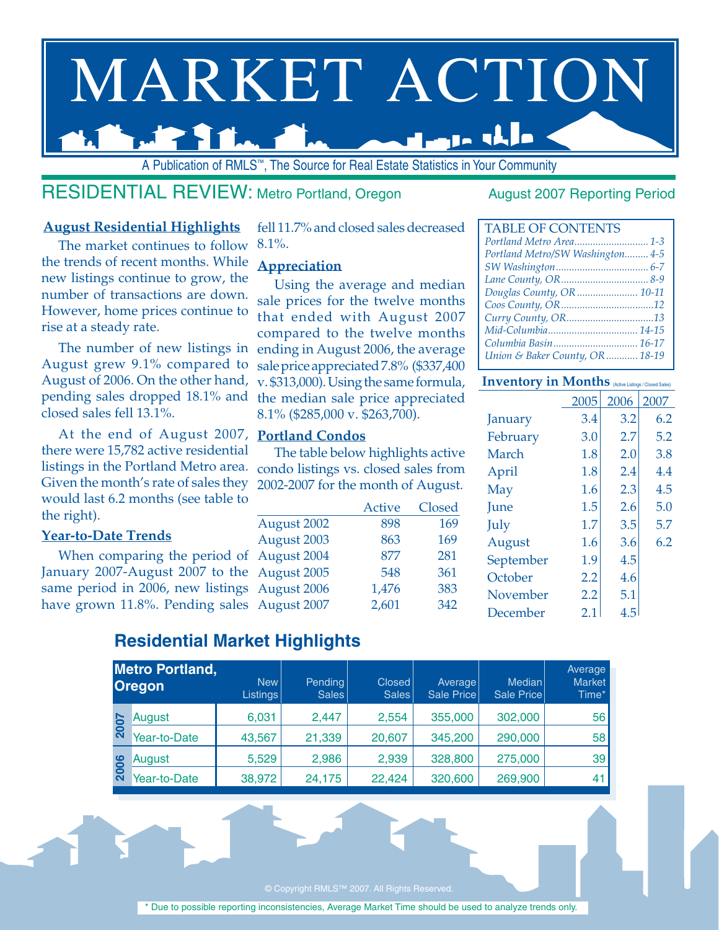# MARKET ACTION مابان عرض

A Publication of RMLS™, The Source for Real Estate Statistics in Your Community

### RESIDENTIAL REVIEW: Metro Portland, Oregon August 2007 Reporting Period

#### **August Residential Highlights**

The market continues to follow the trends of recent months. While new listings continue to grow, the number of transactions are down. However, home prices continue to rise at a steady rate.

The number of new listings in August grew 9.1% compared to August of 2006. On the other hand, pending sales dropped 18.1% and closed sales fell 13.1%.

At the end of August 2007, **Portland Condos**  there were 15,782 active residential listings in the Portland Metro area. condo listings vs. closed sales from Given the month's rate of sales they would last 6.2 months (see table to the right).

#### **Year-to-Date Trends**

When comparing the period of  $\beta$ January 2007-August 2007 to the same period in 2006, new listings A have grown 11.8%. Pending sales A

fell 11.7% and closed sales decreased 8.1%.

#### **Appreciation**

Using the average and median sale prices for the twelve months that ended with August 2007 compared to the twelve months ending in August 2006, the average sale price appreciated 7.8% (\$337,400 v. \$313,000). Using the same formula, the median sale price appreciated 8.1% (\$285,000 v. \$263,700).

The table below highlights active 2002-2007 for the month of August.

|             | <b>Active</b> | Closed |
|-------------|---------------|--------|
| August 2002 | 898           | 169    |
| August 2003 | 863           | 169    |
| August 2004 | 877           | 281    |
| August 2005 | 548           | 361    |
| August 2006 | 1,476         | 383    |
| August 2007 | 2,601         | 342    |

| <b>TABLE OF CONTENTS</b>         |
|----------------------------------|
| Portland Metro Area 1-3          |
| Portland Metro/SW Washington 4-5 |
|                                  |
|                                  |
| Douglas County, OR  10-11        |
|                                  |
| Curry County, OR13               |
|                                  |
| Columbia Basin 16-17             |
| Union & Baker County, OR  18-19  |

#### **Inventory in Months** (Active Listings / Closed Sa

|             | 2005    | 2006 | 2007 |
|-------------|---------|------|------|
| January     | 3.4     | 3.2  | 6.2  |
| February    | 3.0     | 2.7  | 5.2  |
| March       | 1.8     | 2.0  | 3.8  |
| April       | 1.8     | 2.4  | 4.4  |
| May         | 1.6     | 2.3  | 4.5  |
| <b>June</b> | 1.5     | 2.6  | 5.0  |
| July        | 1.7     | 3.5  | 5.7  |
| August      | 1.6     | 3.6  | 6.2  |
| September   | 1.9     | 4.5  |      |
| October     | $2.2\,$ | 4.6  |      |
| November    | 2.2     | 5.1  |      |
| December    | 2.1     | 4.5  |      |
|             |         |      |      |

### **Residential Market Highlights**

|      | <b>Metro Portland,</b><br><b>Oregon</b> | New<br>Listings | <b>Pending</b><br>Sales | <b>Closed</b><br><b>Sales</b> | Average<br>Sale Price | Median<br>Sale Price | Average<br><b>Market</b><br>Time* |
|------|-----------------------------------------|-----------------|-------------------------|-------------------------------|-----------------------|----------------------|-----------------------------------|
|      | August                                  | 6,031           | 2,447                   | 2,554                         | 355,000               | 302,000              | 56                                |
| 2007 | Year-to-Date                            | 43,567          | 21,339                  | 20,607                        | 345,200               | 290,000              | 58                                |
|      | August                                  | 5,529           | 2,986                   | 2,939                         | 328,800               | 275,000              | 39                                |
| 2006 | Year-to-Date                            | 38,972          | 24,175                  | 22,424                        | 320,600               | 269,900              | 41                                |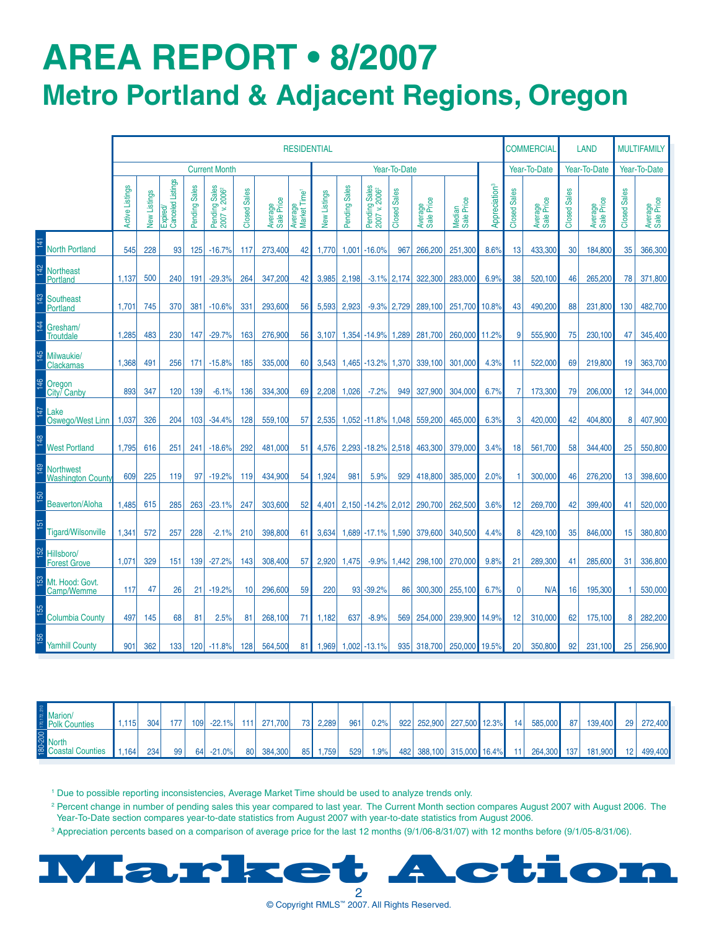## **AREa REPORT • 8/2007 Metro Portland & Adjacent Regions, Oregon**

|                |                                              |                        |              |                               |               |                                            |                     |                       | <b>RESIDENTIAL</b>                  |              |                 |                                                    |              |                       |                      |                           |                | COMMERCIAL            |              | <b>LAND</b>           |                     | <b>MULTIFAMILY</b>    |
|----------------|----------------------------------------------|------------------------|--------------|-------------------------------|---------------|--------------------------------------------|---------------------|-----------------------|-------------------------------------|--------------|-----------------|----------------------------------------------------|--------------|-----------------------|----------------------|---------------------------|----------------|-----------------------|--------------|-----------------------|---------------------|-----------------------|
|                |                                              |                        |              |                               |               | <b>Current Month</b>                       |                     |                       |                                     |              |                 |                                                    | Year-To-Date |                       |                      |                           |                | Year-To-Date          |              | Year-To-Date          |                     | Year-To-Date          |
|                |                                              | <b>Active Listings</b> | New Listings | Expired/<br>Canceled Listings | Pending Sales | Pending Sales<br>2007 v. 2006 <sup>2</sup> | <b>Closed Sales</b> | Average<br>Sale Price | Average<br>Market Time <sup>1</sup> | New Listings | Pending Sales   | Pending Sales<br>2007 v. 2006 <sup>2</sup><br>2007 | Closed Sales | Average<br>Sale Price | Median<br>Sale Price | Appreciation <sup>3</sup> | Closed Sales   | Average<br>Sale Price | Closed Sales | Average<br>Sale Price | <b>Closed Sales</b> | Average<br>Sale Price |
| 141            | <b>North Portland</b>                        | 545                    | 228          | 93                            | 125           | $-16.7%$                                   | 117                 | 273,400               | 42                                  | 1,770        |                 | $1,001$ -16.0%                                     | 967          | 266,200               | 251,300              | 8.6%                      | 13             | 433,300               | 30           | 184,800               | 35                  | 366,300               |
| 142            | <b>Northeast</b><br><b>Portland</b>          | 1,137                  | 500          | 240                           | 191           | $-29.3%$                                   | 264                 | 347,200               | 42                                  | 3,985        | 2,198           | $-3.1%$                                            | 2,174        | 322,300               | 283,000              | 6.9%                      | 38             | 520,100               | 46           | 265,200               | 78                  | 371,800               |
| 143            | <b>Southeast</b><br><b>Portland</b>          | 1,701                  | 745          | 370                           | 381           | $-10.6%$                                   | 331                 | 293,600               | 56                                  | 5,593        | 2,923           | $-9.3\%$ 2,729                                     |              | 289,100               | 251,700              | 10.8%                     | 43             | 490,200               | 88           | 231,800               | 130                 | 482,700               |
| 144            | Gresham/<br><b>Troutdale</b>                 | 1,285                  | 483          | 230                           | 147           | $-29.7%$                                   | 163                 | 276,900               | 56                                  | 3,107        |                 | $1,354$ -14.9%                                     | 1,289        | 281,700               | 260,000              | 11.2%                     | 9              | 555,900               | 75           | 230,100               | 47                  | 345,400               |
| $\frac{45}{1}$ | Milwaukie/<br><b>Clackamas</b>               | 1,368                  | 491          | 256                           | 171           | $-15.8%$                                   | 185                 | 335,000               | 60                                  | 3,543        |                 | 1,465 - 13.2%                                      | 1,370        | 339,100               | 301,000              | 4.3%                      | 11             | 522,000               | 69           | 219,800               | 19                  | 363,700               |
| 146            | Oregon<br>City/ Canby                        | 893                    | 347          | 120                           | 139           | $-6.1%$                                    | 136                 | 334,300               | 69                                  | 2,208        | 1,026           | $-7.2%$                                            | 949          | 327,900               | 304,000              | 6.7%                      | $\overline{7}$ | 173,300               | 79           | 206.000               | 12                  | 344,000               |
| 147            | Lake<br>Oswego/West Linn                     | 1,037                  | 326          | 204                           | 103           | $-34.4%$                                   | 128                 | 559,100               | 57                                  | 2,535        |                 | $1,052$ -11.8%                                     | 1,048        | 559,200               | 465,000              | 6.3%                      | 3              | 420,000               | 42           | 404,800               | 8                   | 407,900               |
| 148            | <b>West Portland</b>                         | 1,795                  | 616          | 251                           | 241           | $-18.6%$                                   | 292                 | 481,000               | 51                                  | 4,576        |                 | $2,293$ -18.2%                                     | 2,518        | 463,300               | 379,000              | 3.4%                      | 18             | 561.700               | 58           | 344,400               | 25                  | 550,800               |
| 149            | <b>Northwest</b><br><b>Washington County</b> | 609                    | 225          | 119                           | 97            | $-19.2%$                                   | 119                 | 434,900               | 54                                  | 1,924        | 981             | 5.9%                                               | 929          | 418,800               | 385,000              | 2.0%                      | 1              | 300,000               | 46           | 276,200               | 13                  | 398,600               |
| 50             | <b>Beaverton/Aloha</b>                       | 1,485                  | 615          | 285                           | 263           | $-23.1%$                                   | 247                 | 303,600               | 52                                  | 4,401        |                 | 2,150 - 14.2% 2,012                                |              | 290,700               | 262,500              | 3.6%                      | 12             | 269,700               | 42           | 399,400               | 41                  | 520,000               |
| 151            | <b>Tigard/Wilsonville</b>                    | 1.341                  | 572          | 257                           | 228           | $-2.1%$                                    | 210                 | 398,800               | 61                                  | 3.634        |                 | $1.689$ -17.1%                                     | 1,590        | 379,600               | 340,500              | 4.4%                      | 8              | 429.100               | 35           | 846,000               | 15                  | 380,800               |
| <b>I52</b>     | Hillsboro/<br><b>Forest Grove</b>            | 1.071                  | 329          | 151                           | 139           | $-27.2%$                                   | 143                 | 308,400               | 57                                  | 2.920        | 1.475           | $-9.9%$                                            | 1,442        | 298,100               | 270,000              | 9.8%                      | 21             | 289,300               | 41           | 285,600               | 31                  | 336,800               |
| <b>I53</b>     | Mt. Hood: Govt.<br>Camp/Wemme                | 117                    | 47           | 26                            | 21            | $-19.2%$                                   | 10                  | 296,600               | 59                                  | 220          | 93 <sub>1</sub> | $-39.2%$                                           | 86           | 300.300               | 255,100              | 6.7%                      | $\mathbf{0}$   | N/A                   | 16           | 195,300               |                     | 530,000               |
| 155            | <b>Columbia County</b>                       | 497                    | 145          | 68                            | 81            | 2.5%                                       | 81                  | 268,100               | 71                                  | 1,182        | 637             | $-8.9%$                                            | 569          | 254,000               | 239,900              | 14.9%                     | 12             | 310,000               | 62           | 175,100               | 8                   | 282,200               |
| 156            | <b>Yamhill County</b>                        | 901                    | 362          | 133                           | 120           | $-11.8%$                                   | 128                 | 564,500               | 81                                  | 1,969        |                 | $1,002$ -13.1%                                     |              | 935 318,700           | 250,000 19.5%        |                           | 20             | 350,800               | 92           | 231,100               | 25                  | 256,900               |

| <b>E</b> Marion/<br><b>Polk Counties</b> | 1,115 | 304 | 177 | 109 <sup>1</sup> | $-22.1%$ |      | 111 271,700 | 73 <sub>l</sub> | 2.289  | 961 | 0.2% | 922 252,900 | 227,500 12.3%             | 14  | 585,000     | 87 | 139,400 |                 | 29 272,400 |
|------------------------------------------|-------|-----|-----|------------------|----------|------|-------------|-----------------|--------|-----|------|-------------|---------------------------|-----|-------------|----|---------|-----------------|------------|
| S<br>North<br><b>Coastal Counties</b>    | 1.164 | 234 | 99  | 64               | $-21.0%$ | 80 L | 384,300     | 85 I            | '759،، | 529 | 1.9% |             | 482 388,100 315,000 16.4% | 111 | 264,300 137 |    | 181,900 | 12 <sup>1</sup> | 499,400    |

<sup>1</sup> Due to possible reporting inconsistencies, Average Market Time should be used to analyze trends only.

2 Percent change in number of pending sales this year compared to last year. The Current Month section compares August 2007 with August 2006. The Year-To-Date section compares year-to-date statistics from August 2007 with year-to-date statistics from August 2006.

3 Appreciation percents based on a comparison of average price for the last 12 months (9/1/06-8/31/07) with 12 months before (9/1/05-8/31/06).



2 © Copyright RMLS™ 2007. All Rights Reserved.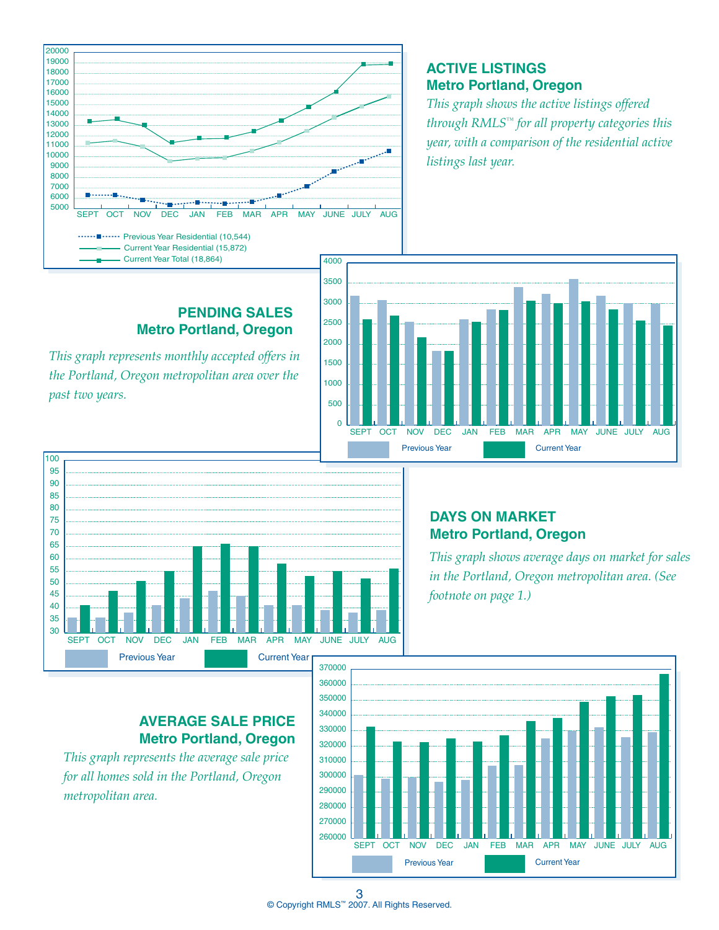

#### **ACTIVE LISTINGS Metro Portland, Oregon**

*This graph shows the active listings offered through RMLS™ for all property categories this year, with a comparison of the residential active listings last year.*

#### **PENDING SALES Metro Portland, Oregon**

*This graph represents monthly accepted offers in the Portland, Oregon metropolitan area over the past two years.*





#### **DAYS ON MARKET Metro Portland, Oregon**

*This graph shows average days on market for sales in the Portland, Oregon metropolitan area. (See footnote on page 1.)*

#### **AVERAGE SALE PRICE Metro Portland, Oregon**

*This graph represents the average sale price for all homes sold in the Portland, Oregon metropolitan area.*

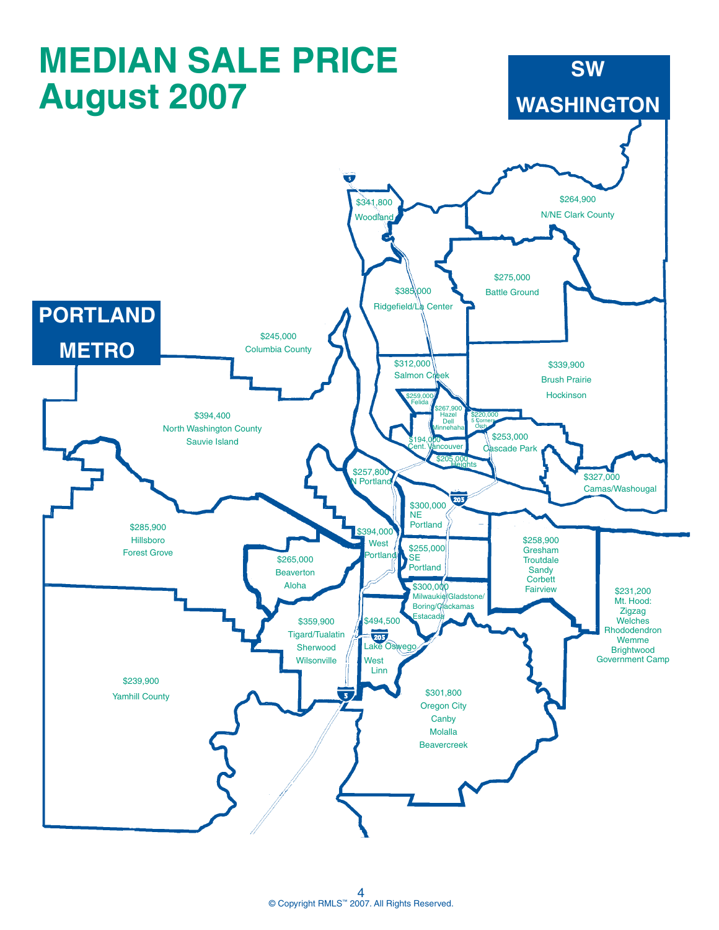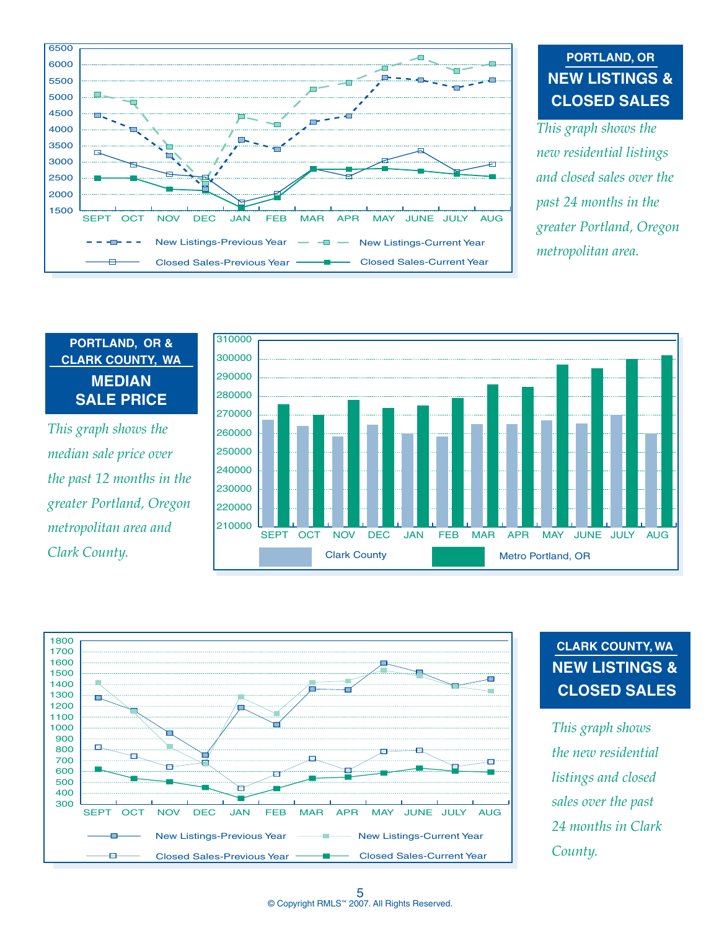

### **PORTLAND, OR NEW LISTINGS & CLOSED SALES**

*This graph shows the new residential listings and closed sales over the past 24 months in the greater Portland, Oregon metropolitan area.*

#### **PORTLAND, OR & CLARK COUNTY, WA MEDIAN SALE PRICE**

*This graph shows the median sale price over the past 12 months in the greater Portland, Oregon metropolitan area and Clark County.*





### **CLARK COUNTY, WA NEW LISTINGS & CLOSED SALES**

*This graph shows the new residential listings and closed sales over the past 24 months in Clark County.*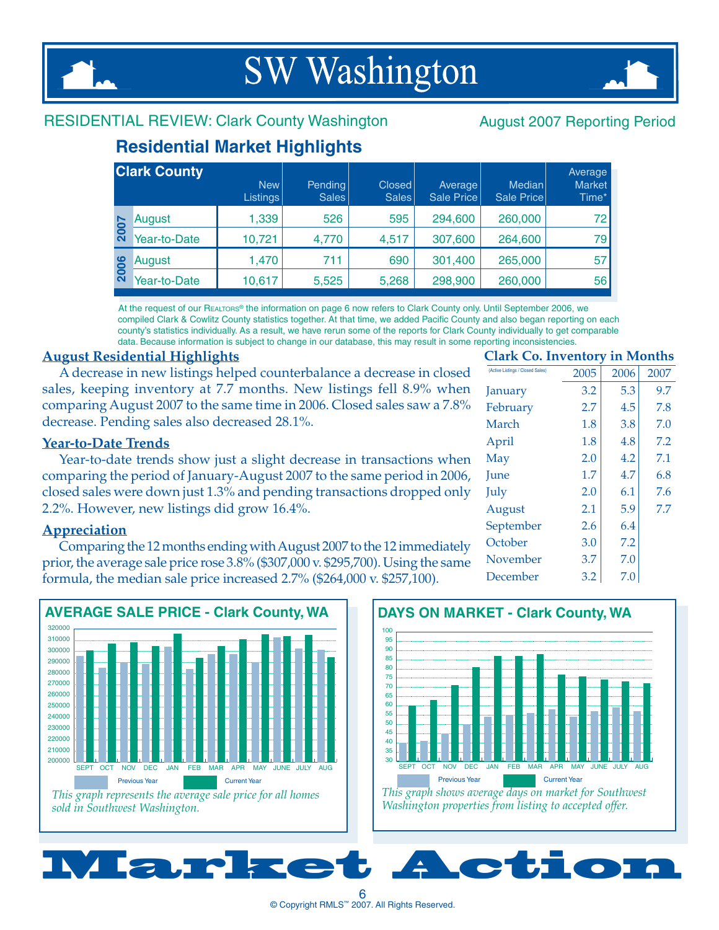## **SW Washington**



#### RESIDENTIAL REVIEW: Clark County Washington August 2007 Reporting Period

### **Residential Market Highlights**

|             | <b>Clark County</b> | New  <br>Listings | Pending<br><b>Sales</b> | Closed<br><b>Sales</b> | Average<br>Sale Price | Median<br>Sale Price | Average<br><b>Market</b><br>Time* |
|-------------|---------------------|-------------------|-------------------------|------------------------|-----------------------|----------------------|-----------------------------------|
|             | August              | 1,339             | 526                     | 595                    | 294,600               | 260,000              | 72                                |
| <b>2007</b> | Year-to-Date        | 10,721            | 4,770                   | 4,517                  | 307,600               | 264,600              | 79                                |
| 2006        | August              | 1,470             | 711                     | 690                    | 301,400               | 265,000              | 57                                |
|             | Year-to-Date        | 10,617            | 5,525                   | 5,268                  | 298,900               | 260,000              | 56                                |

At the request of our Realtors® the information on page 6 now refers to Clark County only. Until September 2006, we compiled Clark & Cowlitz County statistics together. At that time, we added Pacific County and also began reporting on each county's statistics individually. As a result, we have rerun some of the reports for Clark County individually to get comparable data. Because information is subject to change in our database, this may result in some reporting inconsistencies.

#### **August Residential Highlights**

A decrease in new listings helped counterbalance a decrease in closed sales, keeping inventory at 7.7 months. New listings fell 8.9% when comparing August 2007 to the same time in 2006. Closed sales saw a 7.8% decrease. Pending sales also decreased 28.1%.

#### **Year-to-Date Trends**

Year-to-date trends show just a slight decrease in transactions when comparing the period of January-August 2007 to the same period in 2006, closed sales were down just 1.3% and pending transactions dropped only 2.2%. However, new listings did grow 16.4%.

#### **Appreciation**

Comparing the 12 months ending with August 2007 to the 12 immediately prior, the average sale price rose 3.8% (\$307,000 v. \$295,700). Using the same formula, the median sale price increased 2.7% (\$264,000 v. \$257,100).



*This graph represents the average sale price for all homes sold in Southwest Washington.* 

#### **Clark Co. Inventory in Months**

| (Active Listings / Closed Sales) | 2005 | 2006 | 2007 |
|----------------------------------|------|------|------|
| January                          | 3.2  | 5.3  | 9.7  |
| February                         | 2.7  | 4.5  | 7.8  |
| March                            | 1.8  | 3.8  | 7.0  |
| April                            | 1.8  | 4.8  | 7.2  |
| May                              | 2.0  | 4.2  | 7.1  |
| <b>June</b>                      | 1.7  | 4.7  | 6.8  |
| July                             | 2.0  | 6.1  | 7.6  |
| August                           | 2.1  | 5.9  | 7.7  |
| September                        | 2.6  | 6.4  |      |
| October                          | 3.0  | 7.2  |      |
| November                         | 3.7  | 7.0  |      |
| December                         | 3.2  | 7.0  |      |
|                                  |      |      |      |



Market Action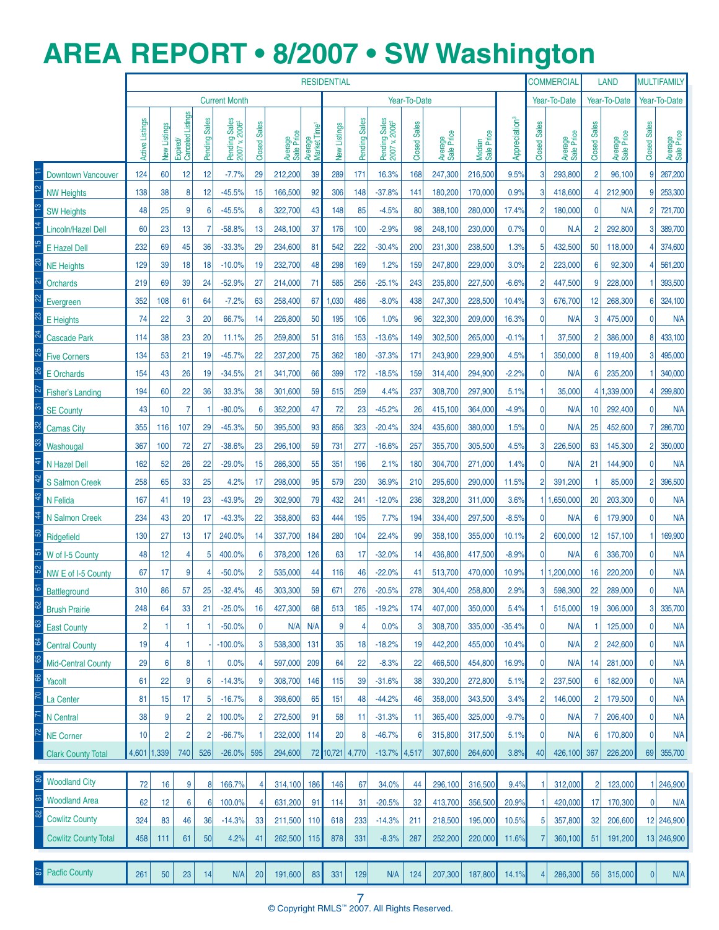## **AREa REPORT • 8/2007 • SW Washington**

|                             |                        |              |                              |                |                                            |                     |                       |                                     | <b>RESIDENTIAL</b> |               |                                            |                     |                       |                      |                           |                     | <b>COMMERCIAL</b>     |                     | <b>LAND</b>           |                     | <b>MULTIFAMILY</b>    |
|-----------------------------|------------------------|--------------|------------------------------|----------------|--------------------------------------------|---------------------|-----------------------|-------------------------------------|--------------------|---------------|--------------------------------------------|---------------------|-----------------------|----------------------|---------------------------|---------------------|-----------------------|---------------------|-----------------------|---------------------|-----------------------|
|                             |                        |              |                              |                | <b>Current Month</b>                       |                     |                       |                                     |                    |               |                                            | Year-To-Date        |                       |                      |                           |                     | Year-To-Date          |                     | Year-To-Date          |                     | Year-To-Date          |
|                             | <b>Active Listings</b> | New Listings | Canceled Listings<br>Expired | Pending Sales  | Pending Sales<br>2007 v. 2006 <sup>2</sup> | <b>Closed Sales</b> | Average<br>Sale Price | Market Time <sup>t</sup><br>Average | New Listings       | Pending Sales | Pending Sales<br>2007 v. 2006 <sup>2</sup> | <b>Closed Sales</b> | Average<br>Sale Price | Median<br>Sale Price | Appreciation <sup>3</sup> | <b>Closed Sales</b> | Average<br>Sale Price | <b>Closed Sales</b> | Average<br>Sale Price | <b>Closed Sales</b> | Average<br>Sale Price |
| <b>Downtown Vancouver</b>   | 124                    | 60           | 12                           | 12             | $-7.7%$                                    | 29                  | 212,200               | 39                                  | 289                | 171           | 16.3%                                      | 168                 | 247,300               | 216,500              | 9.5%                      | 3                   | 293,800               | $\overline{2}$      | 96,100                | 9                   | 267,200               |
| <b>NW Heights</b>           | 138                    | 38           | 8                            | 12             | $-45.5%$                                   | 15                  | 166,500               | 92                                  | 306                | 148           | $-37.8%$                                   | 141                 | 180,200               | 170,000              | 0.9%                      | 3                   | 418,600               | 4                   | 212,900               | 9                   | 253,300               |
| <b>SW Heights</b>           | 48                     | 25           | 9                            | 6              | $-45.5%$                                   | 8                   | 322,700               | 43                                  | 148                | 85            | $-4.5%$                                    | 80                  | 388,100               | 280,000              | 17.4%                     | $\overline{2}$      | 180,000               | 0                   | N/A                   | $\overline{2}$      | 721,700               |
| Lincoln/Hazel Dell          | 60                     | 23           | 13                           | 7              | $-58.8%$                                   | 13                  | 248,100               | 37                                  | 176                | 100           | $-2.9%$                                    | 98                  | 248,100               | 230,000              | 0.7%                      | 0                   | N.A                   | $\overline{2}$      | 292,800               | 3                   | 389,700               |
| <b>E</b> Hazel Dell         | 232                    | 69           | 45                           | 36             | $-33.3%$                                   | 29                  | 234,600               | 81                                  | 542                | 222           | $-30.4%$                                   | 200                 | 231,300               | 238,500              | 1.3%                      | 5                   | 432,500               | 50                  | 118,000               | 4                   | 374,600               |
| <b>NE Heights</b>           | 129                    | 39           | 18                           | 18             | $-10.0%$                                   | 19                  | 232,700               | 48                                  | 298                | 169           | 1.2%                                       | 159                 | 247,800               | 229,000              | 3.0%                      | 2                   | 223,000               | 6                   | 92,300                | 4                   | 561,200               |
| Orchards                    | 219                    | 69           | 39                           | 24             | $-52.9%$                                   | 27                  | 214,000               | 71                                  | 585                | 256           | $-25.1%$                                   | 243                 | 235,800               | 227,500              | $-6.6%$                   | $\overline{2}$      | 447,500               | 9                   | 228,000               |                     | 393,500               |
| Evergreen                   | 352                    | 108          | 61                           | 64             | $-7.2%$                                    | 63                  | 258,400               | 67                                  | 1,030              | 486           | $-8.0%$                                    | 438                 | 247,300               | 228,500              | 10.4%                     | 3                   | 676,700               | 12                  | 268,300               | 6                   | 324,100               |
| E Heights                   | 74                     | 22           | 3                            | 20             | 66.7%                                      | 14                  | 226,800               | 50                                  | 195                | 106           | 1.0%                                       | 96                  | 322,300               | 209,000              | 16.3%                     | 0                   | N/A                   | 3                   | 475,000               | 0                   | <b>N/A</b>            |
| <b>Cascade Park</b>         | 114                    | 38           | 23                           | 20             | 11.1%                                      | 25                  | 259,800               | 51                                  | 316                | 153           | $-13.6%$                                   | 149                 | 302,500               | 265,000              | $-0.1%$                   |                     | 37,500                | $\overline{2}$      | 386,000               | 8                   | 433,100               |
| <b>Five Corners</b>         | 134                    | 53           | 21                           | 19             | $-45.7%$                                   | 22                  | 237,200               | 75                                  | 362                | 180           | $-37.3%$                                   | 171                 | 243,900               | 229,900              | 4.5%                      |                     | 350,000               | 8                   | 119,400               | 3                   | 495,000               |
| <b>E</b> Orchards           | 154                    | 43           | 26                           | 19             | $-34.5%$                                   | 21                  | 341,700               | 66                                  | 399                | 172           | $-18.5%$                                   | 159                 | 314,400               | 294,900              | $-2.2%$                   | 0                   | N/A                   | 6                   | 235,200               |                     | 340,000               |
| <b>Fisher's Landing</b>     | 194                    | 60           | 22                           | 36             | 33.3%                                      | 38                  | 301,600               | 59                                  | 515                | 259           | 4.4%                                       | 237                 | 308,700               | 297,900              | 5.1%                      |                     | 35,000                |                     | 4 1,339,000           | 4                   | 299,800               |
| <b>SE County</b>            | 43                     | 10           | $\overline{7}$               | -1             | $-80.0%$                                   | 6                   | 352,200               | 47                                  | 72                 | 23            | $-45.2%$                                   | 26                  | 415,100               | 364,000              | $-4.9%$                   | 0                   | N/A                   | 10                  | 292,400               | $\mathbf 0$         | <b>N/A</b>            |
| <b>Camas City</b>           | 355                    | 116          | 107                          | 29             | $-45.3%$                                   | 50                  | 395,500               | 93                                  | 856                | 323           | $-20.4%$                                   | 324                 | 435,600               | 380,000              | 1.5%                      | 0                   | N/A                   | 25                  | 452,600               | 7                   | 286,700               |
| Washougal                   | 367                    | 100          | 72                           | 27             | $-38.6%$                                   | 23                  | 296,100               | 59                                  | 731                | 277           | $-16.6%$                                   | 257                 | 355,700               | 305,500              | 4.5%                      | 3                   | 226,500               | 63                  | 145,300               | $\overline{2}$      | 350,000               |
| N Hazel Dell                | 162                    | 52           | 26                           | 22             | $-29.0%$                                   | 15                  | 286,300               | 55                                  | 351                | 196           | 2.1%                                       | 180                 | 304,700               | 271,000              | 1.4%                      | $\mathbf{0}$        | N/A                   | 21                  | 144,900               | $\mathbf 0$         | <b>N/A</b>            |
| <b>S</b> Salmon Creek       | 258                    | 65           | 33                           | 25             | 4.2%                                       | 17                  | 298,000               | 95                                  | 579                | 230           | 36.9%                                      | 210                 | 295,600               | 290,000              | 11.5%                     | 2                   | 391,200               |                     | 85,000                | $\overline{2}$      | 396,500               |
| N Felida                    | 167                    | 41           | 19                           | 23             | $-43.9%$                                   | 29                  | 302,900               | 79                                  | 432                | 241           | $-12.0%$                                   | 236                 | 328,200               | 311,000              | 3.6%                      |                     | 1 1,650,000           | 20                  | 203,300               | $\mathbf{0}$        | <b>N/A</b>            |
| N Salmon Creek              | 234                    | 43           | 20                           | 17             | $-43.3%$                                   | 22                  | 358,800               | 63                                  | 444                | 195           | 7.7%                                       | 194                 | 334,400               | 297,500              | $-8.5%$                   | 0                   | N/A                   | 6                   | 179,900               | $\mathbf 0$         | <b>N/A</b>            |
| Ridgefield                  | 130                    | 27           | 13                           | 17             | 240.0%                                     | 14                  | 337,700               | 184                                 | 280                | 104           | 22.4%                                      | 99                  | 358,100               | 355,000              | 10.1%                     | 2                   | 600,000               | 12                  | 157,100               |                     | 169,900               |
| W of I-5 County             | 48                     | 12           | 4                            | 5              | 400.0%                                     | 6                   | 378,200               | 126                                 | 63                 | 17            | $-32.0%$                                   | 14                  | 436,800               | 417,500              | $-8.9%$                   | $\mathbf{0}$        | N/A                   | 6                   | 336,700               | 0                   | <b>N/A</b>            |
| NW E of I-5 County          | 67                     | 17           | 9                            | 4              | $-50.0%$                                   | $\overline{2}$      | 535,000               | 44                                  | 116                | 46            | $-22.0%$                                   | 41                  | 513,700               | 470,000              | 10.9%                     |                     | 1 1,200,000           | 16                  | 220,200               | 0                   | <b>N/A</b>            |
| <b>Battleground</b>         | 310                    | 86           | 57                           | 25             | $-32.4%$                                   | 45                  | 303,300               | 59                                  | 671                | 276           | $-20.5%$                                   | 278                 | 304,400               | 258,800              | 2.9%                      | 3                   | 598,300               | 22                  | 289,000               | 0                   | <b>N/A</b>            |
| <b>Brush Prairie</b>        | 248                    | 64           | 33                           | 21             | $-25.0%$                                   | 16                  | 427,300               | 68                                  | 513                | 185           | $-19.2%$                                   | 174                 | 407,000               | 350,000              | 5.4%                      |                     | 515,000               | 19                  | 306,000               | 3                   | 335,700               |
| <b>East County</b>          | 2                      |              | 1                            | -1             | $-50.0%$                                   | $\mathbf{0}$        | N/A                   | N/A                                 | 9                  | 4             | 0.0%                                       |                     | 308,700               | 335,000              | $-35.4%$                  | 0                   | N/A                   |                     | 125,000               | $\mathbf{0}$        | <b>N/A</b>            |
| <b>Central County</b>       | 19                     | 4            | 1                            |                | $-100.0\%$                                 | 3                   | 538,300               | 131                                 | 35                 | 18            | $-18.2%$                                   | 19                  | 442,200               | 455,000              | 10.4%                     | $\overline{0}$      | N/A                   | $\overline{2}$      | 242,600               | $\mathbf 0$         | <b>N/A</b>            |
| <b>Mid-Central County</b>   | 29                     | 6            | 8                            | -1             | 0.0%                                       | 4                   | 597,000               | 209                                 | 64                 | 22            | $-8.3%$                                    | 22                  | 466,500               | 454,800              | 16.9%                     | 0                   | N/A                   | 14                  | 281,000               | 0                   | <b>N/A</b>            |
| Yacolt                      | 61                     | 22           | 9                            | 6              | $-14.3%$                                   | 9                   | 308,700               | 146                                 | 115                | 39            | $-31.6%$                                   | 38                  | 330,200               | 272,800              | 5.1%                      | 2                   | 237,500               | 6                   | 182,000               | 0                   | <b>N/A</b>            |
| La Center                   | 81                     | 15           | 17                           | 5              | $-16.7%$                                   | 8                   | 398,600               | 65                                  | 151                | 48            | $-44.2%$                                   | 46                  | 358,000               | 343,500              | 3.4%                      | 2                   | 146,000               | 2                   | 179,500               | 0                   | <b>N/A</b>            |
| N Central                   | 38                     | 9            | 2                            | 2              | 100.0%                                     | $\overline{2}$      | 272,500               | 91                                  | 58                 | 11            | $-31.3%$                                   | 11                  | 365,400               | 325,000              | $-9.7%$                   | 0                   | N/A                   | 7                   | 206,400               | 0                   | <b>N/A</b>            |
| <b>NE Corner</b>            | 10                     | 2            | $\overline{2}$               | 2              | $-66.7%$                                   | 1                   | 232,000               | 114                                 | 20                 | 8             | $-46.7%$                                   | $6 \mid$            | 315,800               | 317,500              | 5.1%                      | 0                   | N/A                   | 6                   | 170,800               | $\mathbf 0$         | <b>N/A</b>            |
| <b>Clark County Total</b>   | 4,601 1,339            |              | 740                          | 526            | $-26.0%$                                   | 595                 | 294,600               |                                     | 72 10,721 4,770    |               | $-13.7\%$ 4,517                            |                     | 307,600               | 264,600              | 3.8%                      | 40                  | 426,100               | 367                 | 226,200               | 69                  | 355,700               |
| <b>Woodland City</b>        | 72                     | 16           | 9                            |                | 166.7%                                     |                     |                       | 186                                 |                    | 67            | 34.0%                                      |                     |                       |                      | 9.4%                      |                     | 312,000               | 2                   | 123,000               |                     | 246,900               |
| <b>Woodland Area</b>        |                        |              |                              | 8 <sup>1</sup> |                                            |                     | 314,100               |                                     | 146                |               |                                            | 44                  | 296,100               | 316,500              |                           |                     |                       | 17 <sup>1</sup>     |                       | 0                   |                       |
| <b>Cowlitz County</b>       | 62<br>324              | 12           | 6                            | 61             | 100.0%                                     | 4                   | 631,200               | 91                                  | 114                | 31            | $-20.5%$                                   | 32                  | 413,700               | 356,500              | 20.9%<br>10.5%            |                     | 420,000               | 32                  | 170,300               |                     | N/A<br>12 246,900     |
| <b>Cowlitz County Total</b> |                        | 83           | 46<br>61                     | 36             | $-14.3%$<br>4.2%                           | 33                  | 211,500               | 110                                 | 618<br>878         | 233<br>331    | $-14.3%$<br>$-8.3%$                        | 211                 | 218,500               | 195,000              | 11.6%                     | 5                   | 357,800               | 51                  | 206,600               |                     | 13 246,900            |
|                             | 458                    | 111          |                              | 50             |                                            | 41                  | 262,500               | 115                                 |                    |               |                                            | 287                 | 252,200               | 220,000              |                           |                     | 360,100               |                     | 191,200               |                     |                       |
| <b>Pacfic County</b>        | 261                    | 50           | 23                           | 14             | N/A                                        | 20                  | 191,600               | 83                                  | 331                | 129           | N/A                                        | 124                 | 207,300               | 187,800              | 14.1%                     | 4                   | 286,300               | 56                  | 315,000               | 0                   | N/A                   |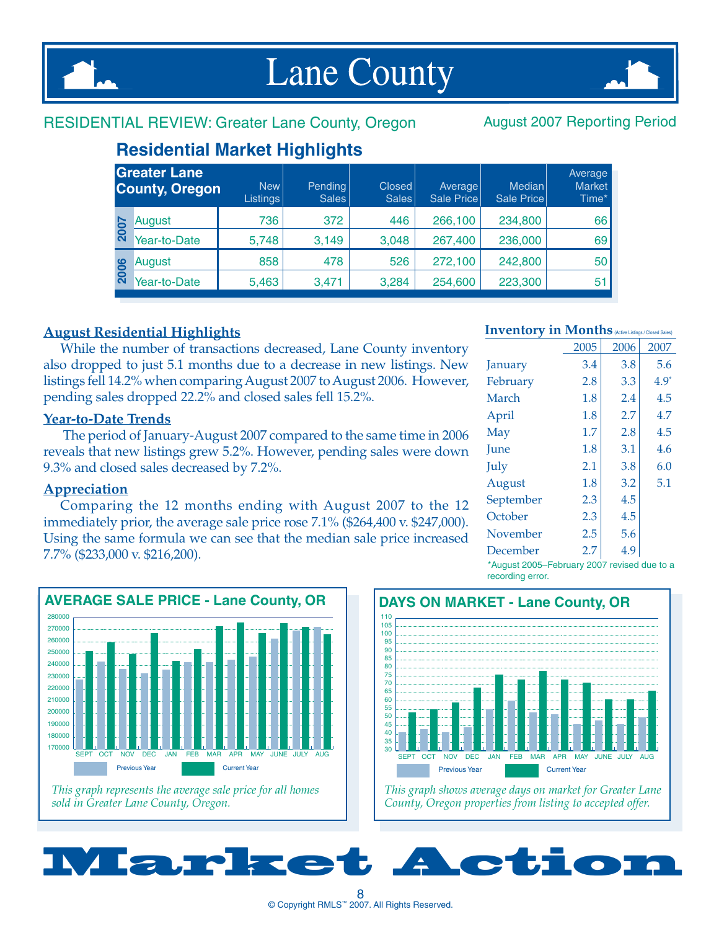

## **Lane County**



#### RESIDENTIAL REVIEW: Greater Lane County, Oregon August 2007 Reporting Period

#### **Residential Market Highlights**

|      | <b>Greater Lane</b><br><b>County, Oregon</b> | New  <br><b>Listings</b> | Pending<br>Sales | Closed<br><b>Sales</b> | Average<br>Sale Price | Median<br>Sale Price | Average<br><b>Market</b><br>Time* |
|------|----------------------------------------------|--------------------------|------------------|------------------------|-----------------------|----------------------|-----------------------------------|
| 2007 | August                                       | 736                      | 372              | 446                    | 266,100               | 234,800              | 66                                |
|      | Year-to-Date                                 | 5,748                    | 3,149            | 3,048                  | 267,400               | 236,000              | 69                                |
|      | August                                       | 858                      | 478              | 526                    | 272,100               | 242,800              | 50                                |
| 2006 | Year-to-Date                                 | 5,463                    | 3,471            | 3,284                  | 254,600               | 223,300              | 51                                |

#### **August Residential Highlights**

While the number of transactions decreased, Lane County inventory also dropped to just 5.1 months due to a decrease in new listings. New listings fell 14.2% when comparing August 2007 to August 2006. However, pending sales dropped 22.2% and closed sales fell 15.2%.

#### **Year-to-Date Trends**

 The period of January-August 2007 compared to the same time in 2006 reveals that new listings grew 5.2%. However, pending sales were down 9.3% and closed sales decreased by 7.2%.

#### **Appreciation**

Comparing the 12 months ending with August 2007 to the 12 immediately prior, the average sale price rose 7.1% (\$264,400 v. \$247,000). Using the same formula we can see that the median sale price increased 7.7% (\$233,000 v. \$216,200).



*This graph represents the average sale price for all homes sold in Greater Lane County, Oregon.*

#### Inventory in Months (Active Listings / Closed Sales)

|           | 2005 | 2006 | 2007    |
|-----------|------|------|---------|
| January   | 3.4  | 3.8  | 5.6     |
| February  | 2.8  | 3.3  | $4.9^*$ |
| March     | 1.8  | 2.4  | 4.5     |
| April     | 1.8  | 2.7  | 4.7     |
| May       | 1.7  | 2.8  | 4.5     |
| June      | 1.8  | 3.1  | 4.6     |
| July      | 2.1  | 3.8  | 6.0     |
| August    | 1.8  | 3.2  | 5.1     |
| September | 2.3  | 4.5  |         |
| October   | 2.3  | 4.5  |         |
| November  | 2.5  | 5.6  |         |
| December  | 2.7  | 4.9  |         |

\*August 2005–February 2007 revised due to a recording error.



*This graph shows average days on market for Greater Lane County, Oregon properties from listing to accepted offer.*

 $^8$  8<br>© Copyright RMLS™ 2007. All Rights Reserved.

Market Action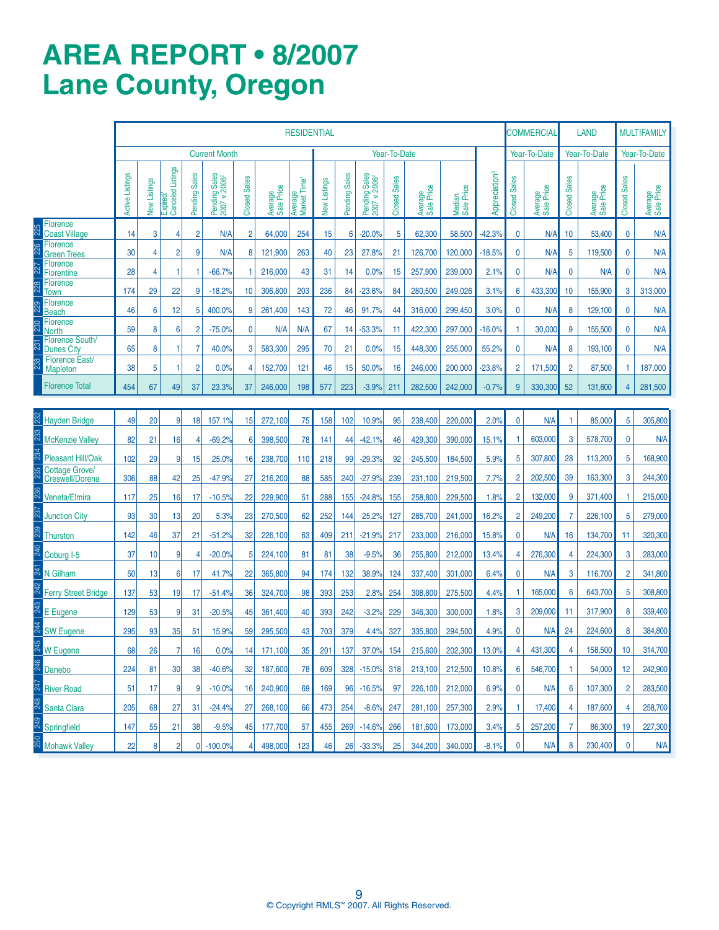### **AREa REPORT • 8/2007 Lane County, Oregon**

|                                             |                 |              |                               |                |                                                                    |                         |                       | <b>RESIDENTIAL</b>                  |              |               |                                                                           |                     |                       |                      |                           |                     | COMMERCIAL            |                     | LAND                  |                     | <b>MULTIFAMILY</b>    |
|---------------------------------------------|-----------------|--------------|-------------------------------|----------------|--------------------------------------------------------------------|-------------------------|-----------------------|-------------------------------------|--------------|---------------|---------------------------------------------------------------------------|---------------------|-----------------------|----------------------|---------------------------|---------------------|-----------------------|---------------------|-----------------------|---------------------|-----------------------|
|                                             |                 |              |                               |                | <b>Current Month</b>                                               |                         |                       |                                     |              |               |                                                                           | Year-To-Date        |                       |                      |                           |                     | Year-To-Date          |                     | Year-To-Date          |                     | Year-To-Date          |
|                                             | Active Listings | New Listings | Expired/<br>Canceled Listings | Pending Sales  | Pending Sales<br>2007 v. 2006 <sup>2</sup><br>Pending <sup>S</sup> | <b>Sales</b><br>Closed: | Average<br>Sale Price | Average<br>Market Time <sup>1</sup> | New Listings | Pending Sales | ding Sales<br>'v. 2006 <sup>2</sup><br>Pending <sup>s</sup><br>2007 v. 20 | <b>Closed Sales</b> | Average<br>Sale Price | Median<br>Sale Price | Appreciation <sup>3</sup> | <b>Closed Sales</b> | Average<br>Sale Price | <b>Closed Sales</b> | Average<br>Sale Price | <b>Closed Sales</b> | Average<br>Sale Price |
| <b>Florence</b><br><b>Coast Village</b>     | 14              | 3            | 4                             | $\overline{2}$ | N/A                                                                | $\overline{2}$          | 64,000                | 254                                 | 15           | 6             | $-20.0%$                                                                  | 5                   | 62,300                | 58,500               | $-42.3%$                  | 0                   | N/A                   | 10                  | 53,400                | $\mathbf 0$         | N/A                   |
| <b>Florence</b><br><b>Green Trees</b>       | 30              | 4            | 2                             | 9              | N/A                                                                | 8                       | 121,900               | 263                                 | 40           | 23            | 27.8%                                                                     | 21                  | 126,700               | 120,000              | $-18.5%$                  | 0                   | N/A                   | 5                   | 119,500               | 0                   | N/A                   |
| <b>Florence</b><br><b>Florentine</b>        | 28              | 4            | 1                             | 1              | $-66.7%$                                                           | 1                       | 216,000               | 43                                  | 31           | 14            | 0.0%                                                                      | 15                  | 257,900               | 239,000              | 2.1%                      | 0                   | N/A                   | $\mathbf 0$         | N/A                   | $\mathbf 0$         | N/A                   |
| Florence<br><b>Town</b>                     | 174             | 29           | 22                            | 9              | $-18.2%$                                                           | 10                      | 306,800               | 203                                 | 236          | 84            | $-23.6%$                                                                  | 84                  | 280,500               | 249,026              | 3.1%                      | 6                   | 433,300               | 10                  | 155,900               | 3                   | 313,000               |
| <b>Florence</b><br><b>Beach</b>             | 46              | 6            | 12                            | 5              | 400.0%                                                             | 9                       | 261,400               | 143                                 | 72           | 46            | 91.7%                                                                     | 44                  | 316,000               | 299,450              | 3.0%                      | 0                   | N/A                   | 8                   | 129,100               | 0                   | N/A                   |
| <b>Florence</b><br><b>North</b>             | 59              | 8            | 6                             | $\overline{2}$ | $-75.0%$                                                           | 0                       | N/A                   | N/A                                 | 67           | 14            | $-53.3%$                                                                  | 11                  | 422,300               | 297,000              | $-16.0%$                  | 1                   | 30,000                | 9                   | 155,500               | $\mathbf 0$         | N/A                   |
| <b>Florence South/</b><br><b>Dunes City</b> | 65              | 8            | 1                             | 7              | 40.0%                                                              | 3                       | 583,300               | 295                                 | 70           | 21            | 0.0%                                                                      | 15                  | 448,300               | 255,000              | 55.2%                     | 0                   | N/A                   | 8                   | 193,100               | $\mathbf 0$         | N/A                   |
| <b>Florence East/</b><br><b>Mapleton</b>    | 38              | 5            |                               | $\overline{2}$ | 0.0%                                                               | 4                       | 152,700               | 121                                 | 46           | 15            | 50.0%                                                                     | 16                  | 246,000               | 200,000              | $-23.8%$                  | $\overline{2}$      | 171,500               | $\overline{2}$      | 87,500                | 1                   | 187,000               |
| <b>Florence Total</b>                       | 454             | 67           | 49                            | 37             | 23.3%                                                              | 37                      | 246,000               | 198                                 | 577          | 223           | $-3.9%$                                                                   | 211                 | 282,500               | 242,000              | $-0.7%$                   | 9                   | 330,300               | 52                  | 131,600               | 4                   | 281,500               |
|                                             |                 |              |                               |                |                                                                    |                         |                       |                                     |              |               |                                                                           |                     |                       |                      |                           |                     |                       |                     |                       |                     |                       |
| <b>Hayden Bridge</b>                        | 49              | 20           | 9                             | 18             | 157.1%                                                             | 15                      | 272,100               | 75                                  | 158          | 102           | 10.9%                                                                     | 95                  | 238.400               | 220,000              | 2.0%                      | 0                   | N/A                   | 1                   | 85,000                | 5                   | 305,800               |
| <b>McKenzie Valley</b>                      | 82              | 21           | 16                            | 4              | $-69.2%$                                                           | 6                       | 398,500               | 78                                  | 141          | 44            | $-42.1%$                                                                  | 46                  | 429,300               | 390,000              | 15.1%                     | $\mathbf{1}$        | 603,000               | 3                   | 578,700               | $\mathbf{0}$        | N/A                   |
| <b>Pleasant Hill/Oak</b><br>Cottage Grove/  | 102             | 29           | 9                             | 15             | 25.0%                                                              | 16                      | 238,700               | 110                                 | 218          | 99            | $-29.3%$                                                                  | 92                  | 245,500               | 184,500              | 5.9%                      | 5                   | 307,800               | 28                  | 113,200               | 5                   | 168,900               |
| Creswell/Dorena                             | 306             | 88           | 42                            | 25             | $-47.9%$                                                           | 27                      | 216,200               | 88                                  | 585          | 240           | $-27.9%$                                                                  | 239                 | 231,100               | 219,500              | 7.7%                      | $\overline{2}$      | 202,500               | 39                  | 163,300               | 3                   | 244,300               |
| <b>Veneta/Elmira</b>                        | 117             | 25           | 16                            | 17             | $-10.5%$                                                           | 22                      | 229,900               | 51                                  | 288          | 155           | $-24.8%$                                                                  | 155                 | 258,800               | 229,500              | 1.8%                      | $\overline{2}$      | 132,000               | 9                   | 371,400               | $\mathbf{1}$        | 215,000               |
| <b>Junction City</b>                        | 93              | 30           | 13                            | 20             | 5.3%                                                               | 23                      | 270,500               | 62                                  | 252          | 144           | 25.2%                                                                     | 127                 | 285,700               | 241,000              | 16.2%                     | $\overline{2}$      | 249,200               | 7                   | 226,100               | 5                   | 279,000               |
| Thurston                                    | 142             | 46           | 37                            | 21             | $-51.2%$                                                           | 32                      | 226,100               | 63                                  | 409          | 211           | $-21.9%$                                                                  | 217                 | 233,000               | 216,000              | 15.8%                     | $\mathbf 0$         | N/A                   | 16                  | 134,700               | 11                  | 320,300               |
| Coburg I-5                                  | 37              | 10           | 9                             | 4              | $-20.0%$                                                           | 5                       | 224,100               | 81                                  | 81           | 38            | $-9.5%$                                                                   | 36                  | 255,800               | 212,000              | 13.4%                     | 4                   | 276,300               | 4                   | 224,300               | 3                   | 283,000               |
| N Gilham                                    | 50              | 13           | 6 <sup>1</sup>                | 17             | 41.7%                                                              | 22                      | 365,800               | 94                                  | 174          | 132           | 38.9%                                                                     | 124                 | 337,400               | 301,000              | 6.4%                      | 0                   | N/A                   | 3                   | 116,700               | $\overline{2}$      | 341,800               |
| <b>Ferry Street Bridge</b>                  | 137             | 53           | 19                            | 17             | $-51.4%$                                                           | 36                      | 324,700               | 98                                  | 393          | 253           | 2.8%                                                                      | 254                 | 308,800               | 275.500              | 4.4%                      | 1                   | 165,000               | 6                   | 643,700               | 5                   | 308,800               |
| E Eugene                                    | 129             | 53           | 9                             | 31             | $-20.5%$                                                           | 45                      | 361,400               | 40                                  | 393          | 242           | $-3.2%$                                                                   | 229                 | 346,300               | 300,000              | 1.8%                      | 3                   | 209,000               | 11                  | 317,900               | 8                   | 339,400               |
| <b>SW Eugene</b>                            | 295             | 93           | 35                            | 51             | 15.9%                                                              | 59                      | 295,500               | 43                                  | 703          | 379           | 4.4%                                                                      | 327                 | 335,800               | 294,500              | 4.9%                      | 0                   | N/A                   | 24                  | 224,600               | 8                   | 384,800               |
| <mark>ನ W Eugene</mark>                     | 68              | 26           | 71                            | 16             | 0.0%                                                               | 14                      | 171,100               | 35                                  | 201          | 137           | 37.0% 154                                                                 |                     | 215,600               | 202,300              | 13.0%                     | 4                   | 431,300               | 4                   | 158,500               | 10                  | 314,700               |
| <mark>역</mark><br><mark>Ru</mark> Danebo    | 224             | 81           | 30                            | 38             | $-40.6%$                                                           | 32                      | 187,600               | 78                                  | 609          | 328           | $-15.0%$                                                                  | 318                 | 213,100               | 212,500              | 10.8%                     | 6                   | 546,700               | -1                  | 54,000                | 12                  | 242,900               |
| स्र<br>ब्यारा Road                          | 51              | 17           | 9                             | 9              | $-10.0%$                                                           | 16                      | 240,900               | 69                                  | 169          | 96            | $-16.5%$                                                                  | 97                  | 226,100               | 212,000              | 6.9%                      | 0                   | N/A                   | 6                   | 107,300               | $\overline{2}$      | 283,500               |
| Santa Clara                                 | 205             | 68           | 27                            | 31             | $-24.4%$                                                           | 27                      | 268,100               | 66                                  | 473          | 254           | $-8.6%$                                                                   | 247                 | 281,100               | 257,300              | 2.9%                      | 1                   | 17,400                | 4                   | 187,600               | 4                   | 258,700               |
| Springfield                                 | 147             | 55           | 21                            | 38             | $-9.5%$                                                            | 45                      | 177,700               | 57                                  | 455          | 269           | $-14.6%$                                                                  | 266                 | 181,600               | 173,000              | 3.4%                      | 5                   | 257,200               | 7                   | 86,300                | 19                  | 227,300               |
| <b>Mohawk Valley</b>                        | 22              | 8            | $\overline{2}$                |                | $0$ -100.0%                                                        | 4                       | 498,000               | 123                                 | 46           | 26            | $-33.3%$                                                                  | 25                  | 344,200               | 340,000              | $-8.1%$                   | 0                   | N/A                   | 8                   | 230,400               | 0                   | N/A                   |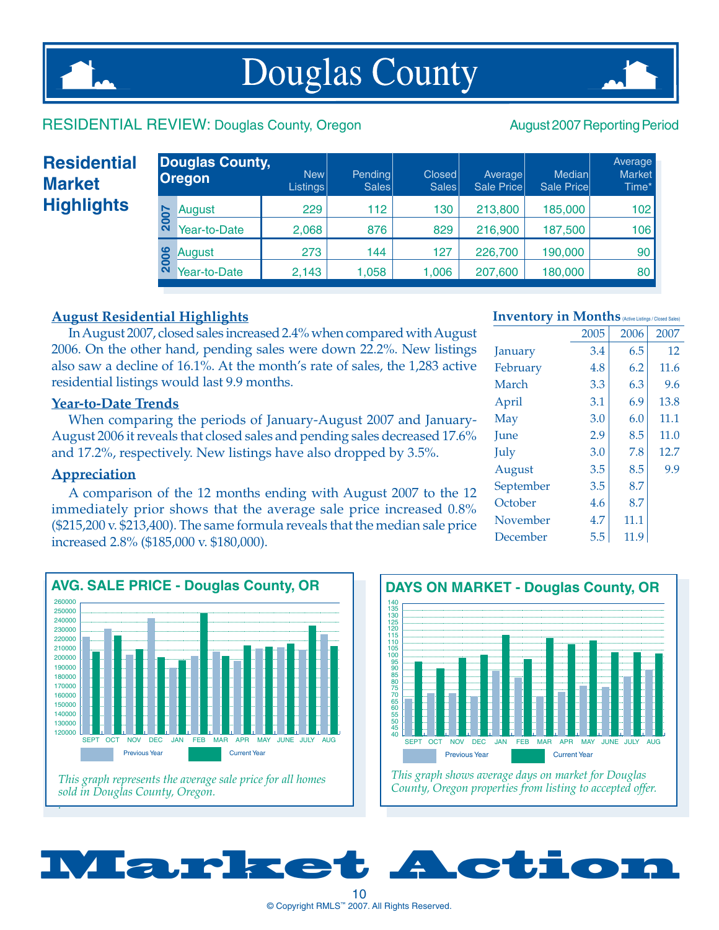## **Douglas County**



#### RESIDENTIAL REVIEW: Douglas County, Oregon August 2007 Reporting Period

### **Residential Market Highlights**

|      | <b>Douglas County,</b><br><b>Oregon</b> | New <sup> </sup><br>Listings | Pending<br>Sales | Closed<br>Sales | Average<br>Sale Price | Medianl<br><b>Sale Pricel</b> | Average<br><b>Market</b><br>Time* |
|------|-----------------------------------------|------------------------------|------------------|-----------------|-----------------------|-------------------------------|-----------------------------------|
| 2007 | August                                  | 229                          | 112              | 130             | 213,800               | 185,000                       | 102                               |
|      | Year-to-Date                            | 2,068                        | 876              | 829             | 216,900               | 187,500                       | 106                               |
| 2006 | August                                  | 273                          | 144              | 127             | 226,700               | 190,000                       | 90                                |
|      | Year-to-Date                            | 2,143                        | 1,058            | 1,006           | 207,600               | 180,000                       | 80                                |
|      |                                         |                              |                  |                 |                       |                               |                                   |

#### **August Residential Highlights**

In August 2007, closed sales increased 2.4% when compared with August 2006. On the other hand, pending sales were down 22.2%. New listings also saw a decline of 16.1%. At the month's rate of sales, the 1,283 active residential listings would last 9.9 months.

#### **Year-to-Date Trends**

When comparing the periods of January-August 2007 and January-August 2006 it reveals that closed sales and pending sales decreased 17.6% and 17.2%, respectively. New listings have also dropped by 3.5%.

#### **Appreciation**

A comparison of the 12 months ending with August 2007 to the 12 immediately prior shows that the average sale price increased 0.8% (\$215,200 v. \$213,400). The same formula reveals that the median sale price increased 2.8% (\$185,000 v. \$180,000).





*County, Oregon properties from listing to accepted offer.*

#### **Inventory in Months** (Active Listings / Closed Sales)

|           | 2005 | 2006 | 2007 |
|-----------|------|------|------|
| January   | 3.4  | 6.5  | 12   |
| February  | 4.8  | 6.2  | 11.6 |
| March     | 3.3  | 6.3  | 9.6  |
| April     | 3.1  | 6.9  | 13.8 |
| May       | 3.0  | 6.0  | 11.1 |
| June      | 2.9  | 8.5  | 11.0 |
| July      | 3.0  | 7.8  | 12.7 |
| August    | 3.5  | 8.5  | 9.9  |
| September | 3.5  | 8.7  |      |
| October   | 4.6  | 8.7  |      |
| November  | 4.7  | 11.1 |      |
| December  | 5.5  | 11.9 |      |
|           |      |      |      |

Market Action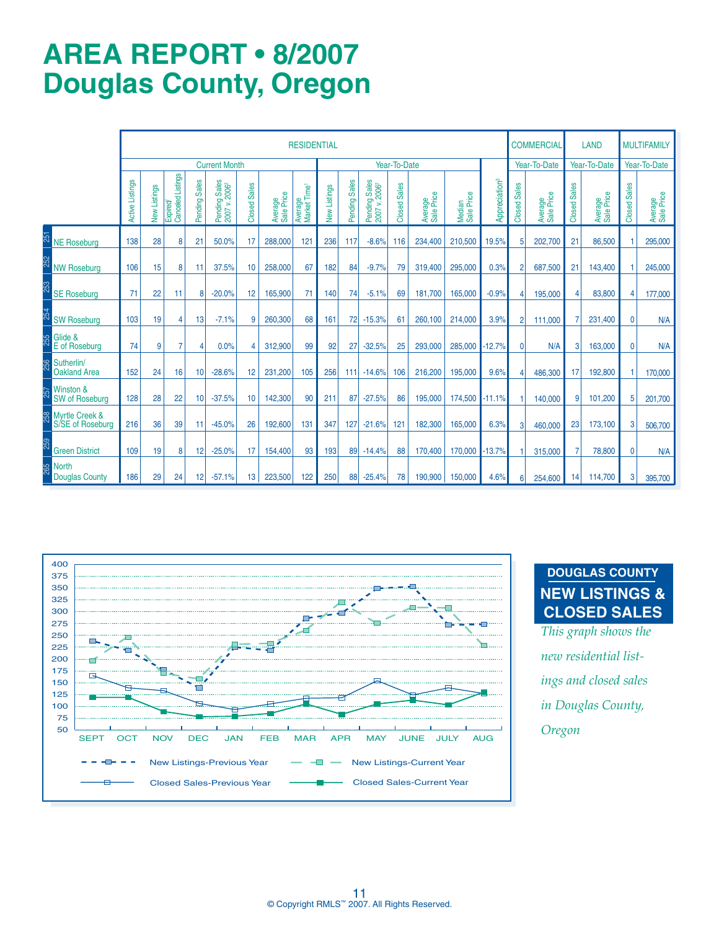### **AREa REPORT • 8/2007 Douglas County, Oregon**

|     |                                               |                 |              |                               |                |                                           |                     |                       | <b>RESIDENTIAL</b>                  |              |               |                                           |                     |                       |                      |                           |                          | <b>COMMERCIAL</b>     |                        | <b>LAND</b>           |                               | <b>MULTIFAMILY</b>    |
|-----|-----------------------------------------------|-----------------|--------------|-------------------------------|----------------|-------------------------------------------|---------------------|-----------------------|-------------------------------------|--------------|---------------|-------------------------------------------|---------------------|-----------------------|----------------------|---------------------------|--------------------------|-----------------------|------------------------|-----------------------|-------------------------------|-----------------------|
|     |                                               |                 |              |                               |                | <b>Current Month</b>                      |                     |                       |                                     |              |               |                                           | Year-To-Date        |                       |                      |                           |                          | Year-To-Date          |                        | Year-To-Date          |                               | Year-To-Date          |
|     |                                               | Active Listings | New Listings | Expired/<br>Canceled Listings | Pending Sales  | Pending Sales<br>2007 v.2006 <sup>2</sup> | <b>Closed Sales</b> | Average<br>Sale Price | Average<br>Market Time <sup>1</sup> | New Listings | Pending Sales | Pending Sales<br>2007 v.2006 <sup>2</sup> | <b>Closed Sales</b> | Average<br>Sale Price | Median<br>Sale Price | Appreciation <sup>3</sup> | <b>Sales</b><br>Closed 9 | Average<br>Sale Price | <b>Sales</b><br>Closed | Average<br>Sale Price | <b>Sales</b><br><b>Closed</b> | Average<br>Sale Price |
| 251 | <b>NE Roseburg</b>                            | 138             | 28           | 8                             | 21             | 50.0%                                     | 17                  | 288,000               | 121                                 | 236          | 117           | $-8.6%$                                   | 116                 | 234.400               | 210,500              | 19.5%                     | 5                        | 202.700               | 21                     | 86,500                |                               | 295,000               |
|     | <b>NW Roseburg</b>                            | 106             | 15           | 8                             | 11             | 37.5%                                     | 10                  | 258,000               | 67                                  | 182          | 84            | $-9.7%$                                   | 79                  | 319,400               | 295,000              | 0.3%                      | $\overline{2}$           | 687,500               | 21                     | 143,400               |                               | 245,000               |
|     | <b>SE Roseburg</b>                            | 71              | 22           | 11                            | 8              | $-20.0%$                                  | 12                  | 165.900               | 71                                  | 140          | 74            | $-5.1%$                                   | 69                  | 181.700               | 165,000              | $-0.9%$                   | 4                        | 195,000               | 4                      | 83,800                | 4                             | 177,000               |
|     | <b>SW Roseburg</b>                            | 103             | 19           | 4                             | 13             | $-7.1%$                                   | 9                   | 260,300               | 68                                  | 161          | 72            | $-15.3%$                                  | 61                  | 260.100               | 214,000              | 3.9%                      | $\overline{2}$           | 111,000               |                        | 231.400               | $\mathbf{0}$                  | N/A                   |
| 255 | Glide &<br>E of Roseburg                      | 74              | 9            | 7                             | $\overline{4}$ | 0.0%                                      | Δ                   | 312.900               | 99                                  | 92           | 27            | $-32.5%$                                  | 25                  | 293,000               | 285,000              | $-12.7%$                  | $\mathbf{0}$             | N/A                   | 3                      | 163.000               | $\mathbf{0}$                  | N/A                   |
| 256 | Sutherlin/<br><b>Oakland Area</b>             | 152             | 24           | 16                            | 10             | $-28.6%$                                  | 12                  | 231.200               | 105                                 | 256          | 111           | $-14.6%$                                  | 106                 | 216,200               | 195.000              | 9.6%                      | 4                        | 486,300               | 17                     | 192.800               |                               | 170,000               |
| 257 | Winston &<br><b>SW of Roseburg</b>            | 128             | 28           | 22                            | 10             | $-37.5%$                                  | 10                  | 142,300               | 90                                  | 211          | 87            | $-27.5%$                                  | 86                  | 195,000               | 174.500 -11.1%       |                           |                          | 140,000               | 9                      | 101.200               | 5                             | 201,700               |
| 258 | <b>Myrtle Creek &amp;</b><br>S/SE of Roseburg | 216             | 36           | 39                            | 11             | $-45.0%$                                  | 26                  | 192,600               | 131                                 | 347          | 127           | $-21.6%$                                  | 121                 | 182,300               | 165,000              | 6.3%                      | 3                        | 460,000               | 23                     | 173,100               | 3                             | 506,700               |
| 259 | <b>Green District</b>                         | 109             | 19           | 8                             | 12             | $-25.0%$                                  | 17                  | 154,400               | 93                                  | 193          | 89            | $-14.4%$                                  | 88                  | 170,400               | 170,000              | $-13.7%$                  |                          | 315,000               | 7                      | 78,800                | $\mathbf{0}$                  | N/A                   |
| 265 | <b>North</b><br><b>Douglas County</b>         | 186             | 29           | 24                            | 12             | $-57.1%$                                  | 13                  | 223,500               | 122                                 | 250          | 88            | $-25.4%$                                  | 78                  | 190,900               | 150,000              | 4.6%                      | 6                        | 254,600               | 14                     | 114,700               | 3                             | 395,700               |



#### **DOUGLAS COUNTY NEW LISTINGS & CLOSED SALES**

*This graph shows the new residential listings and closed sales in Douglas County,*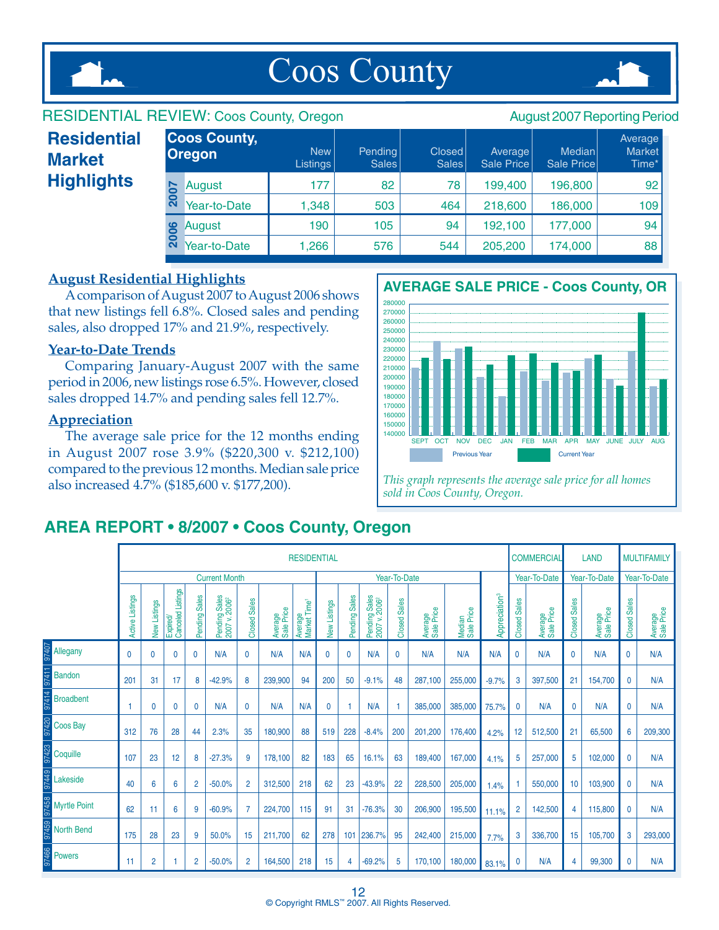

## Coos County



#### RESIDENTIAL REVIEW: Coos County, Oregon August 2007 Reporting Period Average in the set of the set of the set of the set of the set of the set of the set of the set of the set of t New Pending Closed Average Median Market Listings | Sales | Sales | Sale Price | Sale Price | Time\* August 177 82 78 199,400 196,800 92 Year-to-Date 1,348 503 464 218,600 186,000 109 **Coos County, Oregon** August 190 105 94 192,100 177,000 94 **2006** Year-to-Date 1,266 576 544 205,200 174,000 88 **2007 Residential Market Highlights**

#### **August Residential Highlights**

A comparison of August 2007 to August 2006 shows that new listings fell 6.8%. Closed sales and pending sales, also dropped 17% and 21.9%, respectively.

#### **Year-to-Date Trends**

Comparing January-August 2007 with the same period in 2006, new listings rose 6.5%. However, closed sales dropped 14.7% and pending sales fell 12.7%.

#### **Appreciation**

The average sale price for the 12 months ending in August 2007 rose 3.9% (\$220,300 v. \$212,100) compared to the previous 12 months. Median sale price also increased 4.7% (\$185,600 v. \$177,200).



*This graph represents the average sale price for all homes sold in Coos County, Oregon.* 

#### **AREa REPORT • 8/2007 • Coos County, Oregon**

|                     |                                                           |              |                               |                |                                            |                |                       | <b>RESIDENTIAL</b>                  |              |               |                                            |              |                       |                      |                           |                     | <b>COMMERCIAL</b>     |                     | <b>LAND</b>           |              | <b>MULTIFAMILY</b>    |
|---------------------|-----------------------------------------------------------|--------------|-------------------------------|----------------|--------------------------------------------|----------------|-----------------------|-------------------------------------|--------------|---------------|--------------------------------------------|--------------|-----------------------|----------------------|---------------------------|---------------------|-----------------------|---------------------|-----------------------|--------------|-----------------------|
|                     |                                                           |              |                               |                | <b>Current Month</b>                       |                |                       |                                     |              |               |                                            | Year-To-Date |                       |                      |                           |                     | Year-To-Date          |                     | Year-To-Date          |              | Year-To-Date          |
|                     | Active Listings                                           | New Listings | Expired/<br>Canceled Listings | Pending Sales  | Pending Sales<br>2007 v. 2006 <sup>2</sup> | Closed Sales   | Average<br>Sale Price | Average<br>Market Time <sup>1</sup> | New Listings | Pending Sales | Pending Sales<br>2007 v. 2006 <sup>2</sup> | Closed Sales | Average<br>Sale Price | Median<br>Sale Price | Appreciation <sup>3</sup> | <b>Closed Sales</b> | Average<br>Sale Price | <b>Closed Sales</b> | Average<br>Sale Price | Closed Sales | Average<br>Sale Price |
| Allegany            | $\mathbf 0$                                               | $\mathbf{0}$ | $\mathbf 0$                   | $\mathbf{0}$   | N/A                                        | 0              | N/A                   | N/A                                 | $\mathbf 0$  | $\mathbf 0$   | N/A                                        | 0            | N/A                   | N/A                  | N/A                       | $\mathbf{0}$        | N/A                   | $\mathbf 0$         | N/A                   | $\mathbf{0}$ | N/A                   |
| <b>Bandon</b>       | 201                                                       | 31           | 17                            | 8              | $-42.9%$                                   | 8              | 239,900               | 94                                  | 200          | 50            | $-9.1%$                                    | 48           | 287.100               | 255,000              | $-9.7%$                   | 3                   | 397,500               | 21                  | 154,700               | 0            | N/A                   |
| <b>Broadbent</b>    | N/A<br>N/A<br>1<br>$\mathbf{0}$<br>$\mathbf{0}$<br>0<br>0 |              |                               |                |                                            |                |                       |                                     | 0            |               | N/A                                        |              | 385,000               | 385,000              | 75.7%                     | $\mathbf{0}$        | N/A                   | $\mathbf{0}$        | N/A                   | 0            | N/A                   |
| Coos Bay            | 312                                                       | 76           | 28                            | 44             | 2.3%                                       | 35             | 180,900               | 88                                  | 519          | 228           | $-8.4%$                                    | 200          | 201,200               | 176,400              | 4.2%                      | 12                  | 512,500               | 21                  | 65,500                | 6            | 209,300               |
| Coquille            | 107                                                       | 23           | 12                            | 8              | $-27.3%$                                   | 9              | 178,100               | 82                                  | 183          | 65            | 16.1%                                      | 63           | 189,400               | 167,000              | 4.1%                      | 5                   | 257,000               | 5                   | 102,000               | $\mathbf{0}$ | N/A                   |
| Lakeside            | 40                                                        | 6            | 6                             | 2              | $-50.0%$                                   | $\overline{2}$ | 312,500               | 218                                 | 62           | 23            | $-43.9%$                                   | 22           | 228,500               | 205,000              | 1.4%                      |                     | 550,000               | 10                  | 103,900               | $\mathbf{0}$ | N/A                   |
| <b>Myrtle Point</b> | 62                                                        | 11           | 6                             | 9              | $-60.9%$                                   | $\overline{7}$ | 224,700               | 115                                 | 91           | 31            | $-76.3%$                                   | 30           | 206,900               | 195,500              | 11.1%                     | $\overline{2}$      | 142,500               | 4                   | 115,800               | $\mathbf 0$  | N/A                   |
| <b>North Bend</b>   | 175                                                       | 28           | 23                            | 9              | 50.0%                                      | 15             | 211,700               | 62                                  | 278          | 101           | 236.7%                                     | 95           | 242,400               | 215,000              | 7.7%                      | 3                   | 336,700               | 15                  | 105,700               | 3            | 293,000               |
| <b>Powers</b>       | 11                                                        | 2            |                               | $\overline{2}$ | $-50.0%$                                   | $\overline{2}$ | 164,500               | 218                                 | 15           | 4             | $-69.2%$                                   | 5            | 170.100               | 180,000              | 83.1%                     | $\mathbf{0}$        | N/A                   | 4                   | 99,300                | $\mathbf{0}$ | N/A                   |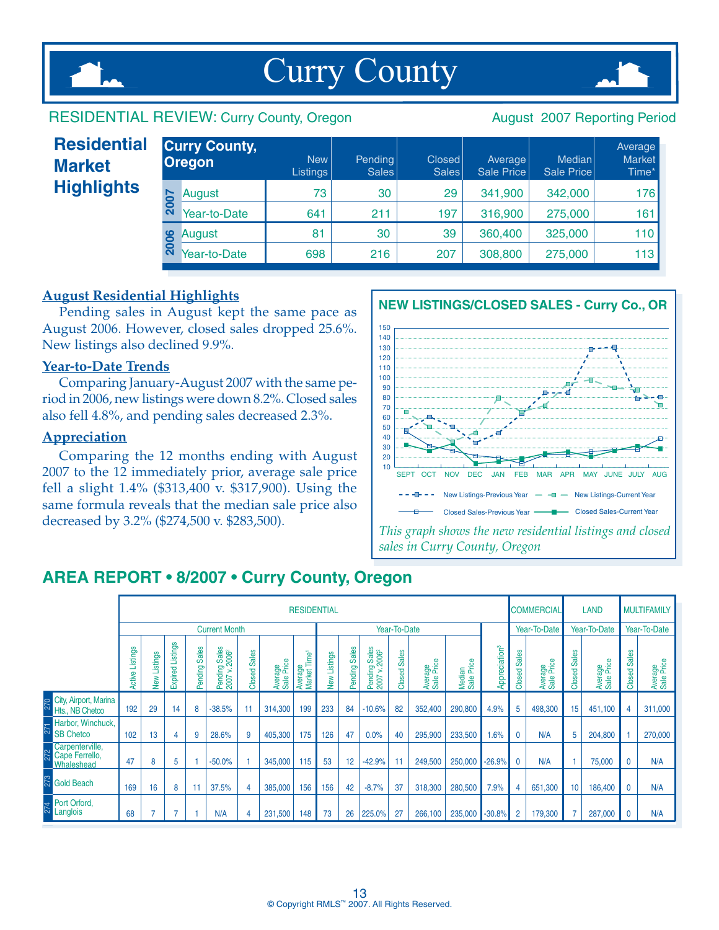

## Curry County



#### RESIDENTIAL REVIEW: Curry County, Oregon August 2007 Reporting Period

| <b>Residential</b><br><b>Market</b> |                              | <b>Curry County,</b><br><b>Oregon</b> | <b>New</b><br>Listings | Pending<br>Sales | Closed<br>Sales | Average<br>Sale Price | Median<br>Sale Price | Average<br>Market<br>Time* |
|-------------------------------------|------------------------------|---------------------------------------|------------------------|------------------|-----------------|-----------------------|----------------------|----------------------------|
| <b>Highlights</b>                   | $\overline{ }$               | August                                | 73                     | 30               | 29              | 341,900               | 342,000              | 176                        |
|                                     | 0<br>$\overline{\mathbf{N}}$ | Year-to-Date                          | 641                    | 211              | 197             | 316,900               | 275,000              | 161                        |
|                                     | 006                          | August                                | 81                     | 30               | 39              | 360,400               | 325,000              | 110                        |
|                                     | $\overline{\mathbf{N}}$      | Year-to-Date                          | 698                    | 216              | 207             | 308,800               | 275,000              | 113                        |

#### **August Residential Highlights**

Pending sales in August kept the same pace as August 2006. However, closed sales dropped 25.6%. New listings also declined 9.9%.

#### **Year-to-Date Trends**

Comparing January-August 2007 with the same period in 2006, new listings were down 8.2%. Closed sales also fell 4.8%, and pending sales decreased 2.3%.

#### **Appreciation**

Comparing the 12 months ending with August 2007 to the 12 immediately prior, average sale price fell a slight 1.4% (\$313,400 v. \$317,900). Using the same formula reveals that the median sale price also decreased by 3.2% (\$274,500 v. \$283,500).



### **AREa REPORT • 8/2007 • Curry County, Oregon**

|     |                                          |                      |              |                     |                                |                                            |                 |                       | <b>RESIDENTIAL</b>                  |                 |                         |                                                      |                        |                       |                      |                           |                        | <b>COMMERCIAL</b>     |                        | <b>LAND</b>           |                        | <b>MULTIFAMILY</b>    |
|-----|------------------------------------------|----------------------|--------------|---------------------|--------------------------------|--------------------------------------------|-----------------|-----------------------|-------------------------------------|-----------------|-------------------------|------------------------------------------------------|------------------------|-----------------------|----------------------|---------------------------|------------------------|-----------------------|------------------------|-----------------------|------------------------|-----------------------|
|     |                                          |                      |              |                     |                                | <b>Current Month</b>                       |                 |                       |                                     |                 |                         |                                                      | Year-To-Date           |                       |                      |                           |                        | Year-To-Date          |                        | Year-To-Date          |                        | Year-To-Date          |
|     |                                          | Listings<br>Active I | New Listings | Listings<br>Expired | <b>Sales</b><br><b>Pending</b> | Pending Sales<br>2007 v. 2006 <sup>2</sup> | Sales<br>Closed | Average<br>Sale Price | Average<br>Market Time <sup>1</sup> | Listings<br>New | <b>Sales</b><br>Pending | g Sales<br>2006 <sup>2</sup><br>Pending<br>≍<br>2007 | <b>Sales</b><br>Closed | Average<br>Sale Price | Median<br>Sale Price | Appreciation <sup>3</sup> | <b>Sales</b><br>Closed | Average<br>Sale Price | <b>Sales</b><br>Closed | Average<br>Sale Price | <b>Sales</b><br>Closed | Average<br>Sale Price |
| 270 | City, Airport, Marina<br>Hts., NB Chetco | 192                  | 29           | 14                  | 8                              | $-38.5%$                                   | 11              | 314,300               | 199                                 | 233             | 84                      | $-10.6%$                                             | 82                     | 352,400               | 290,800              | 4.9%                      | 5                      | 498,300               | 15                     | 451,100               | 4                      | 311,000               |
| 271 | Harbor, Winchuck,<br><b>SB Chetco</b>    | 102                  | 13           | 4                   | 9                              | 28.6%                                      | 9               | 405,300               | 175                                 | 126             | 47                      | 0.0%                                                 | 40                     | 295,900               | 233,500              | 1.6%                      | $\mathbf{0}$           | N/A                   | 5                      | 204,800               |                        | 270,000               |
|     | Carpenterville,<br>Whaleshead            | 47                   | 8            | 5                   |                                | $-50.0%$                                   |                 | 345,000               | 115                                 | 53              | 12                      | $-42.9%$                                             |                        | 249,500               | 250,000              | $-26.9%$                  | $\mathbf{0}$           | N/A                   |                        | 75,000                | $\mathbf{0}$           | N/A                   |
| 273 | <b>Gold Beach</b>                        | 169                  | 16           | 8                   | 11                             | 37.5%                                      | 4               | 385,000               | 156                                 | 156             | 42                      | $-8.7%$                                              | 37                     | 318,300               | 280,500              | 7.9%                      | 4                      | 651,300               | 10                     | 186,400               | $\mathbf 0$            | N/A                   |
|     | Port Orford,<br>Langlois                 | 68                   |              |                     |                                | N/A                                        | 4               | 231,500               | 148                                 | 73              | 26                      | 225.0%                                               | 27                     | 266,100               | 235,000              | $-30.8%$                  | $\overline{2}$         | 179,300               |                        | 287,000               | $\mathbf{0}$           | N/A                   |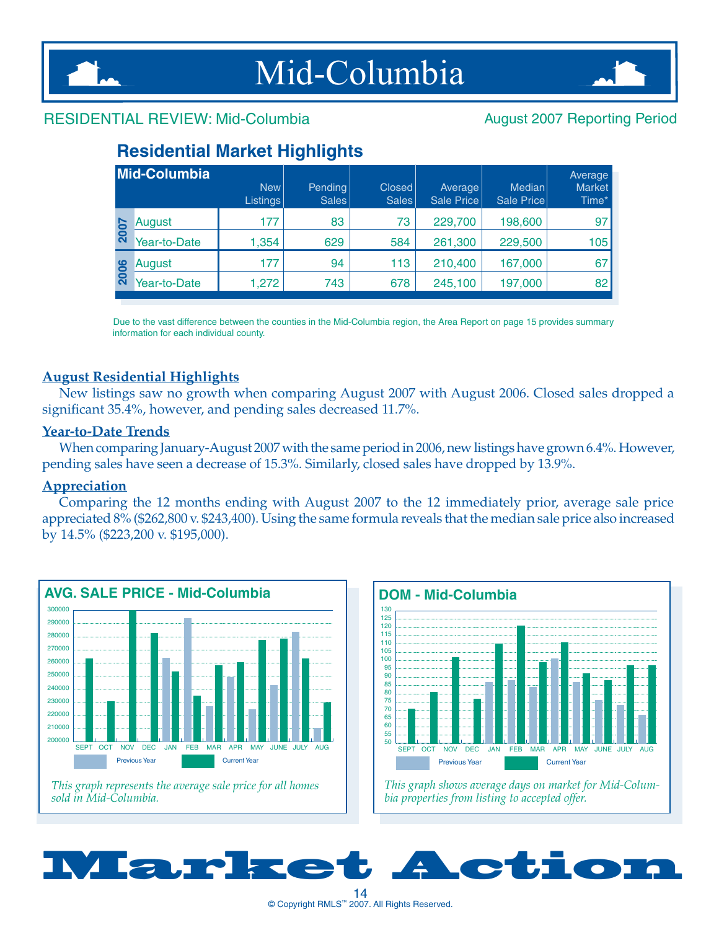



#### RESIDENTIAL REVIEW: Mid-Columbia August 2007 Reporting Period

### **Residential Market Highlights**

|             | Mid-Columbia | <b>New</b><br><b>Listings</b> | Pending<br><b>Sales</b> | <b>Closed</b><br><b>Sales</b> | Average<br>Sale Price | Median<br>Sale Price | Average<br><b>Market</b><br>Time* |
|-------------|--------------|-------------------------------|-------------------------|-------------------------------|-----------------------|----------------------|-----------------------------------|
| <b>2007</b> | August       | 177                           | 83                      | 73                            | 229,700               | 198,600              | 97                                |
|             | Year-to-Date | 1,354                         | 629                     | 584                           | 261,300               | 229,500              | 105                               |
|             | August       | 177                           | 94                      | 113                           | 210,400               | 167,000              | 67                                |
| 2006        | Year-to-Date | 1,272                         | 743                     | 678                           | 245,100               | 197,000              | 82                                |

Due to the vast difference between the counties in the Mid-Columbia region, the Area Report on page 15 provides summary information for each individual county.

#### **August Residential Highlights**

New listings saw no growth when comparing August 2007 with August 2006. Closed sales dropped a significant 35.4%, however, and pending sales decreased 11.7%.

#### **Year-to-Date Trends**

When comparing January-August 2007 with the same period in 2006, new listings have grown 6.4%. However, pending sales have seen a decrease of 15.3%. Similarly, closed sales have dropped by 13.9%.

#### **Appreciation**

Comparing the 12 months ending with August 2007 to the 12 immediately prior, average sale price appreciated 8% (\$262,800 v. \$243,400). Using the same formula reveals that the median sale price also increased by 14.5% (\$223,200 v. \$195,000).







*bia properties from listing to accepted offer.*

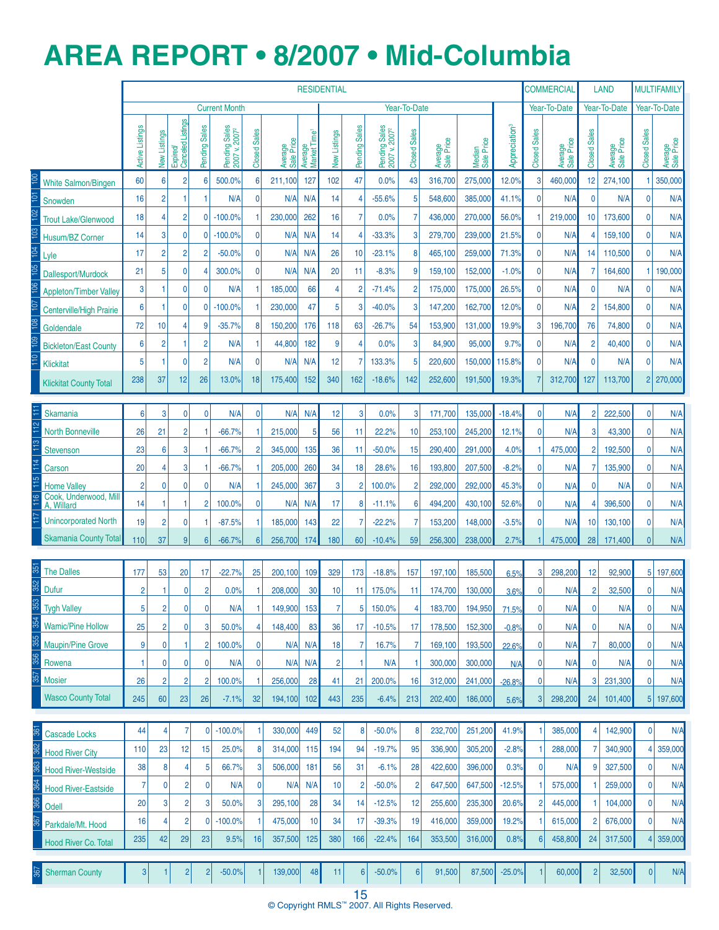### **AREa REPORT • 8/2007 • Mid-Columbia**

|            |                                     |                 |                  |                               |                |                                            |                |                       |                                     | <b>RESIDENTIAL</b> |                |                                            |                     |                       |                      |                           |                     | <b>COMMERCIAL</b>     |                                     | LAND                  |                              | <b>MULTIFAMILY</b>    |
|------------|-------------------------------------|-----------------|------------------|-------------------------------|----------------|--------------------------------------------|----------------|-----------------------|-------------------------------------|--------------------|----------------|--------------------------------------------|---------------------|-----------------------|----------------------|---------------------------|---------------------|-----------------------|-------------------------------------|-----------------------|------------------------------|-----------------------|
|            |                                     |                 |                  |                               |                | <b>Current Month</b>                       |                |                       |                                     |                    |                |                                            | Year-To-Date        |                       |                      |                           |                     | Year-To-Date          |                                     | Year-To-Date          |                              | Year-To-Date          |
|            |                                     | Active Listings | New Listings     | Expired/<br>Canceled Listings | Pending Sales  | Pending Sales<br>2007 v. 2007 <sup>2</sup> | Closed Sales   | Average<br>Sale Price | Average<br>Market Time <sup>1</sup> | New Listings       | Pending Sales  | Pending Sales<br>2007 v. 2007 <sup>2</sup> | <b>Closed Sales</b> | Average<br>Sale Price | Median<br>Sale Price | Appreciation <sup>3</sup> | <b>Closed Sales</b> | Average<br>Sale Price | <b>Sales</b><br>Closed <sup>?</sup> | Average<br>Sale Price | <b>Closed Sales</b>          | Average<br>Sale Price |
|            | <b>White Salmon/Bingen</b>          | 60              | 6                | $\overline{2}$                | 6              | 500.0%                                     | 6              | 211,100               | 127                                 | 102                | 47             | 0.0%                                       | 43                  | 316,700               | 275,000              | 12.0%                     | 3                   | 460,000               | 12                                  | 274,100               |                              | 350,000               |
|            | Snowden                             | 16              | $\overline{2}$   | 1                             |                | N/A                                        | $\mathbf{0}$   | N/A                   | N/A                                 | 14                 | 4              | $-55.6%$                                   | 5                   | 548.600               | 385,000              | 41.1%                     | $\overline{0}$      | N/A                   | $\mathbf 0$                         | N/A                   | $\mathbf 0$                  | N/A                   |
|            | <b>Trout Lake/Glenwood</b>          | 18              | 4                | $\overline{c}$                | $\mathbf{0}$   | $-100.0%$                                  |                | 230,000               | 262                                 | 16                 | $\overline{7}$ | 0.0%                                       |                     | 436,000               | 270,000              | 56.0%                     |                     | 219,000               | 10                                  | 173,600               | $\mathbf{0}$                 | N/A                   |
|            | Husum/BZ Corner                     | 14              | 3                | $\mathbf 0$                   | $\overline{0}$ | $-100.0%$                                  | $\mathbf{0}$   | N/A                   | N/A                                 | 14                 | $\overline{4}$ | $-33.3%$                                   | 3                   | 279,700               | 239,000              | 21.5%                     | $\overline{0}$      | N/A                   | $\overline{4}$                      | 159,100               | $\mathbf{0}$                 | N/A                   |
|            | Lyle                                | 17              | $\overline{2}$   | $\overline{2}$                | $\overline{2}$ | $-50.0%$                                   | 0              | N/A                   | N/A                                 | 26                 | 10             | $-23.1%$                                   | 8                   | 465,100               | 259,000              | 71.3%                     | $\overline{0}$      | N/A                   | 14                                  | 110,500               | $\Omega$                     | N/A                   |
|            | Dallesport/Murdock                  | 21              | 5                | 0                             | 4              | 300.0%                                     | 0              | N/A                   | N/A                                 | 20                 | 11             | $-8.3%$                                    | 9                   | 159,100               | 152,000              | $-1.0%$                   | $\overline{0}$      | N/A                   | 7                                   | 164,600               | 11                           | 190,000               |
|            | <b>Appleton/Timber Valley</b>       | 3               | 1                | 0                             | $\mathbf{0}$   | N/A                                        |                | 185,000               | 66                                  | 4                  | $\overline{2}$ | $-71.4%$                                   | $\overline{2}$      | 175,000               | 175,000              | 26.5%                     | $\overline{0}$      | N/A                   | $\mathbf{0}$                        | N/A                   | $\mathbf{0}$                 | N/A                   |
|            | Centerville/High Prairie            | $6\phantom{1}6$ | 1                | 0                             | $\mathbf{0}$   | $-100.0%$                                  |                | 230,000               | 47                                  | 5                  | 3              | $-40.0%$                                   | 3                   | 147,200               | 162,700              | 12.0%                     | $\overline{0}$      | N/A                   | $\overline{2}$                      | 154,800               | $\mathbf{0}$                 | N/A                   |
|            | Goldendale                          | 72              | 10               | 4                             | 9              | $-35.7%$                                   | 8              | 150,200               | 176                                 | 118                | 63             | $-26.7%$                                   | 54                  | 153,900               | 131,000              | 19.9%                     | 3                   | 196,700               | 76                                  | 74,800                | $\mathbf{0}$                 | N/A                   |
|            | <b>Bickleton/East County</b>        | 6               | $\overline{2}$   | 1                             | $\overline{2}$ | N/A                                        |                | 44,800                | 182                                 | 9                  | 4              | 0.0%                                       | 3                   | 84,900                | 95,000               | 9.7%                      | $\overline{0}$      | N/A                   | $\overline{2}$                      | 40,400                | $\mathbf{0}$                 | N/A                   |
|            | <b>Klickitat</b>                    | 5               | 1                | 0                             | $\overline{2}$ | N/A                                        | $\mathbf{0}$   | N/A                   | N/A                                 | 12                 | $\overline{7}$ | 133.3%                                     | 5                   | 220,600               | 150,000              | 115.8%                    | $\overline{0}$      | N/A                   | $\mathbf{0}$                        | N/A                   | $\mathbf{0}$                 | N/A                   |
|            | <b>Klickitat County Total</b>       | 238             | 37               | 12                            | 26             | 13.0%                                      | 18             | 175,400               | 152                                 | 340                | 162            | $-18.6%$                                   | 142                 | 252,600               | 191,500              | 19.3%                     |                     | 312,700               | 127                                 | 113,700               | $\overline{2}$               | 270,000               |
|            |                                     |                 |                  |                               |                |                                            |                |                       |                                     |                    |                |                                            |                     |                       |                      |                           |                     |                       |                                     |                       |                              |                       |
|            | Skamania                            | 6               | 3                | $\mathbf{0}$                  | $\overline{0}$ | N/A                                        | 0              | N/A                   | N/A                                 | 12                 | 3              | 0.0%                                       | 3 <sup>1</sup>      | 171,700               | 135,000              | $-18.4%$                  | $\mathbf 0$         | N/A                   | $\overline{2}$                      | 222,500               | $\mathbf 0$                  | N/A                   |
|            | <b>North Bonneville</b>             | 26              | 21               | $\overline{2}$                |                | $-66.7%$                                   |                | 215,000               | 5                                   | 56                 | 11             | 22.2%                                      | 10                  | 253,100               | 245,200              | 12.1%                     | 0                   | N/A                   | 3                                   | 43,300                | $\mathbf 0$                  | N/A                   |
|            | Stevenson                           | 23              | 6                | 3                             |                | $-66.7%$                                   | $\overline{2}$ | 345,000               | 135                                 | 36                 | 11             | $-50.0%$                                   | 15                  | 290,400               | 291,000              | 4.0%                      |                     | 475,000               | $\overline{2}$                      | 192,500               | $\mathbf{0}$                 | N/A                   |
|            | Carson                              | 20              | 4                | 3                             |                | $-66.7%$                                   |                | 205,000               | 260                                 | 34                 | 18             | 28.6%                                      | 16                  | 193,800               | 207,500              | $-8.2%$                   | 0                   | N/A                   | 7                                   | 135,900               | 0                            | N/A                   |
|            | <b>Home Valley</b>                  | $\overline{2}$  | $\mathbf 0$      | $\mathbf{0}$                  | 0              | N/A                                        | 1              | 245,000               | 367                                 | 3                  | $\overline{2}$ | 100.0%                                     | 2                   | 292,000               | 292,000              | 45.3%                     | 0                   | N/A                   | $\mathbf 0$                         | N/A                   | 0                            | N/A                   |
|            | Cook, Underwood, Mill<br>A, Willard | 14              | $\mathbf{1}$     | 1                             | 2              | 100.0%                                     | 0              | N/A                   | N/A                                 | 17                 | 8              | $-11.1%$                                   | 6                   | 494,200               | 430,100              | 52.6%                     | 0                   | N/A                   | 4                                   | 396,500               | $\mathbf{0}$                 | N/A                   |
|            | <b>Unincorporated North</b>         | 19              | $\overline{2}$   | $\mathbf{0}$                  |                | $-87.5%$                                   |                | 185,000               | 143                                 | 22                 | 7              | $-22.2%$                                   | 7                   | 153,200               | 148,000              | $-3.5%$                   | 0                   | N/A                   | 10                                  | 130,100               | $\mathbf 0$                  | N/A                   |
|            | <b>Skamania County Total</b>        | 110             | 37               | 9                             | 6 <sup>1</sup> | $-66.7%$                                   | 6 <sup>1</sup> | 256,700               | 174                                 | 180                | 60             | $-10.4%$                                   | 59                  | 256,300               | 238,000              | 2.7%                      |                     | 475,000               | 28                                  | 171,400               | $\mathbf{0}$                 | N/A                   |
|            |                                     |                 |                  |                               |                |                                            |                |                       |                                     |                    |                |                                            |                     |                       |                      |                           |                     |                       |                                     |                       |                              |                       |
| 351        | <b>The Dalles</b>                   | 177             | 53               | 20                            | 17             | $-22.7%$                                   | 25             | 200,100               | 109                                 | 329                | 173            | $-18.8%$                                   | 157                 | 197,100               | 185,500              | 6.5%                      | 3                   | 298,200               | 12                                  | 92,900                | 5 <sup>1</sup>               | 197,600               |
| 352<br>853 | Dufur                               | $\overline{2}$  |                  | 0                             | 2              | 0.0%                                       |                | 208,000               | 30                                  | 10                 | 11             | 175.0%                                     | 11                  | 174,700               | 130,000              | 3.6%                      | 0                   | N/A                   | $\overline{c}$                      | 32,500                | 0                            | N/A                   |
|            | <b>Tygh Valley</b>                  | 5               | $\overline{2}$   | 0                             | 0              | N/A                                        |                | 149,900               | 153                                 | $\overline{7}$     | $\sqrt{5}$     | 150.0%                                     | 4                   | 183,700               | 194,950              | 71.5%                     | 0                   | N/A                   | 0                                   | N/A                   | 0                            | N/A                   |
|            | <b>Wamic/Pine Hollow</b>            | 25              | $\overline{2}$   | 0                             | 3              | 50.0%                                      | 4              | 148,400               | 83                                  | 36                 | 17             | $-10.5%$                                   | 17                  | 178,500               | 152,300              | $-0.8%$                   | 0                   | N/A                   | 0                                   | N/A                   | 0                            | N/A                   |
|            | <b>Maupin/Pine Grove</b>            | 9               | 0                | 1                             | 2              | 100.0%                                     | 0              | N/A                   | N/A                                 | 18                 | 7              | 16.7%                                      | 7                   | 169,100               | 193,500              | 22.6%                     | 0                   | N/A                   | $\overline{7}$                      | 80,000                | 0                            | N/A                   |
|            | Rowena                              | $\mathbf{1}$    | $\boldsymbol{0}$ | 0                             | 0              | N/A                                        | 0              | N/A                   | N/A                                 | 2                  | -1             | N/A                                        |                     | 300,000               | 300,000              | N/A                       | 0                   | N/A                   | $\mathbf 0$                         | N/A                   | 0                            | N/A                   |
| 357        | <b>Mosier</b>                       | 26              | $\overline{2}$   | $\overline{2}$                | 2              | 100.0%                                     |                | 256,000               | 28                                  | 41                 | 21             | 200.0%                                     | 16                  | 312,000               | 241,000              | $-26.8%$                  | 0                   | N/A                   | 3                                   | 231,300               | 0                            | N/A                   |
|            | <b>Wasco County Total</b>           | 245             | 60               | 23                            | 26             | $-7.1%$                                    | 32             | 194,100               | 102                                 | 443                | 235            | $-6.4%$                                    | 213                 | 202,400               | 186,000              | 5.6%                      | 3                   | 298,200               | 24                                  | 101,400               |                              | 5 197,600             |
|            |                                     |                 |                  | $\overline{7}$                |                |                                            |                |                       |                                     |                    |                |                                            |                     |                       |                      |                           |                     |                       |                                     |                       |                              |                       |
| 361        | <b>Cascade Locks</b>                | 44              | 4                |                               | 0              | $-100.0%$                                  |                | 330,000               | 449                                 | 52                 | 8              | $-50.0%$                                   | 8                   | 232,700               | 251,200              | 41.9%                     |                     | 385,000               | 4                                   | 142,900               | $\mathbf{0}$                 | N/A                   |
|            | <b>Hood River City</b>              | 110             | 23               | 12                            | 15             | 25.0%                                      | 8              | 314,000               | 115                                 | 194                | 94             | $-19.7%$                                   | 95                  | 336,900               | 305,200              | $-2.8%$                   |                     | 288,000               | $\overline{7}$                      | 340,900               | $\overline{4}$               | 359,000               |
| 363        | <b>Hood River-Westside</b>          | 38              | 8                | 4                             | 5              | 66.7%                                      | 3              | 506,000               | 181                                 | 56                 | 31             | $-6.1%$                                    | 28                  | 422,600               | 396,000              | 0.3%                      | $\overline{0}$      | N/A                   | 9                                   | 327,500               | $\mathbf{0}$                 | N/A                   |
| 364<br>366 | <b>Hood River-Eastside</b>          | 7               | 0                | $\overline{2}$                | 0              | N/A                                        | 0              | N/A                   | N/A                                 | 10                 | $\overline{c}$ | $-50.0%$                                   | $\overline{2}$      | 647,500               | 647,500              | $-12.5%$                  |                     | 575,000<br>445,000    |                                     | 259,000               | $\mathbf{0}$<br>$\mathbf{0}$ | N/A                   |
|            | Odell                               | 20              | 3                | $\overline{2}$                | 3              | 50.0%                                      | 3              | 295,100               | 28                                  | 34                 | 14             | $-12.5%$                                   | 12                  | 255,600               | 235,300              | 20.6%                     | $\overline{c}$      |                       |                                     | 104,000               |                              | N/A                   |
|            | Parkdale/Mt. Hood                   | 16              | 4                | $\overline{2}$                | 0              | $-100.0%$                                  |                | 475,000               | 10                                  | 34                 | 17             | $-39.3%$                                   | 19                  | 416,000               | 359,000              | 19.2%                     |                     | 615,000               | 2                                   | 676,000               | $\mathbf{0}$                 | N/A                   |
|            | <b>Hood River Co. Total</b>         | 235             | 42               | 29                            | 23             | 9.5%                                       | 16             | 357,500               | 125                                 | 380                | 166            | $-22.4%$                                   | 164                 | 353,500               | 316,000              | 0.8%                      | $6\phantom{1}$      | 458,800               | 24                                  | 317,500               | $\overline{4}$               | 359,000               |
|            | Sherman County                      | $\overline{3}$  |                  | $\overline{c}$                | 2              | $-50.0%$                                   |                | 139,000               | 48                                  | 11                 | $6\phantom{a}$ | $-50.0%$                                   | $\boldsymbol{6}$    | 91,500                | 87,500               | $-25.0%$                  |                     | 60,000                | $\overline{2}$                      | 32,500                | $\mathbf{0}$                 | N/A                   |

15 © Copyright RMLS™ 2007. All Rights Reserved.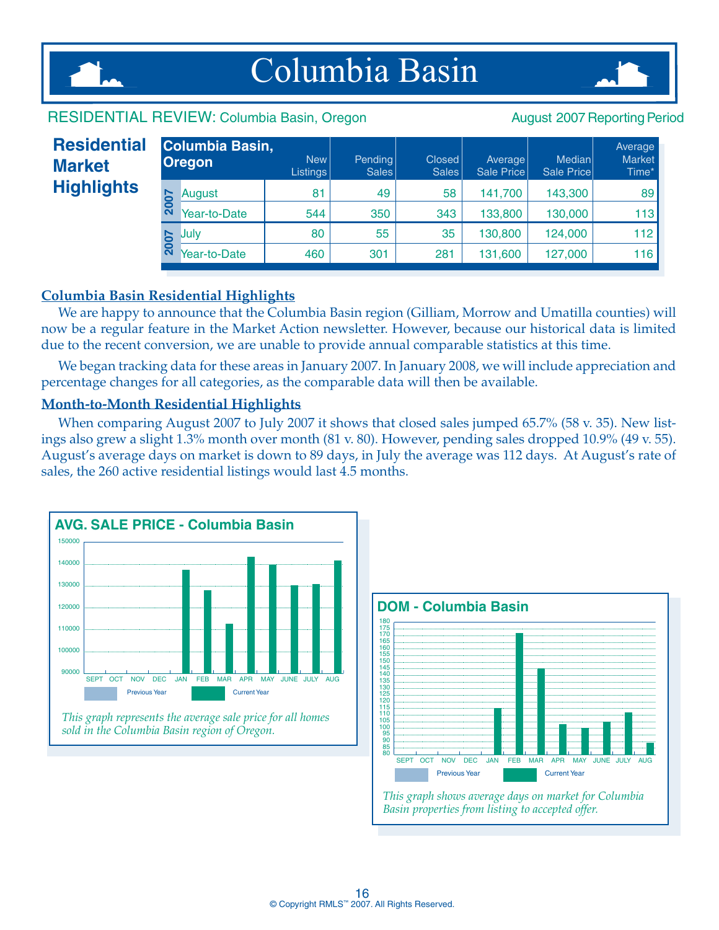

## Columbia Basin



#### RESIDENTIAL REVIEW: Columbia Basin, Oregon August 2007 Reporting Period

#### **Oregon Residential Market Highlights**

| 143,300<br>49<br>58<br>81<br>141,700<br><b>2007</b><br>August<br>Year-to-Date<br>343<br>133,800<br>130,000<br>544<br>350<br>35<br>124,000<br>130,800<br>80<br>55<br>Julv | Columbia Basin,<br><b>Oregon</b> | New  <br><b>Listings</b> | Pending<br>Sales | Closed<br>Sales | Average<br>Sale Price | Median<br>Sale Price | Average<br><b>Market</b><br>Time* |
|--------------------------------------------------------------------------------------------------------------------------------------------------------------------------|----------------------------------|--------------------------|------------------|-----------------|-----------------------|----------------------|-----------------------------------|
| <b>Z007</b>                                                                                                                                                              |                                  |                          |                  |                 |                       |                      | 89                                |
|                                                                                                                                                                          |                                  |                          |                  |                 |                       |                      | 113                               |
|                                                                                                                                                                          |                                  |                          |                  |                 |                       |                      | 112                               |
|                                                                                                                                                                          | Year-to-Date                     | 460                      | 301              | 281             | 131,600               | 127,000              | 116                               |

#### **Columbia Basin Residential Highlights**

We are happy to announce that the Columbia Basin region (Gilliam, Morrow and Umatilla counties) will now be a regular feature in the Market Action newsletter. However, because our historical data is limited due to the recent conversion, we are unable to provide annual comparable statistics at this time.

We began tracking data for these areas in January 2007. In January 2008, we will include appreciation and percentage changes for all categories, as the comparable data will then be available.

#### **Month-to-Month Residential Highlights**

When comparing August 2007 to July 2007 it shows that closed sales jumped 65.7% (58 v. 35). New listings also grew a slight 1.3% month over month (81 v. 80). However, pending sales dropped 10.9% (49 v. 55). August's average days on market is down to 89 days, in July the average was 112 days. At August's rate of sales, the 260 active residential listings would last 4.5 months.





*Basin properties from listing to accepted offer.*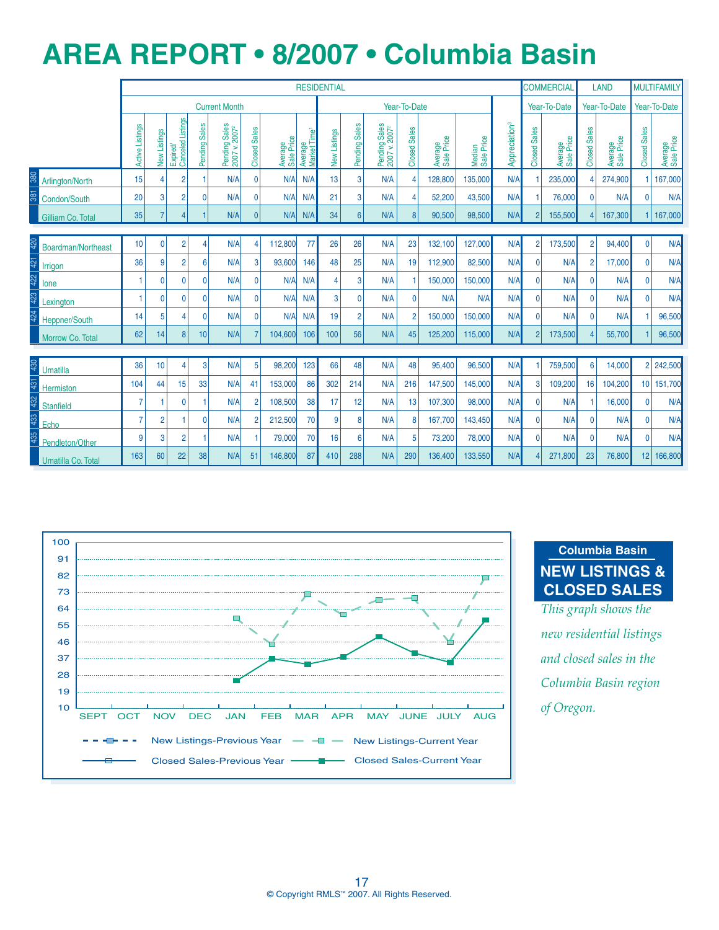### **AREa REPORT • 8/2007 • Columbia Basin**

|     |                                                                                |                                               |                |                               |                |                                            |                                     |                       |                                     | <b>RESIDENTIAL</b> |                 |                                            |                                     |                       |                      |                           |                     | <b>COMMERCIAL</b>     |                     | <b>LAND</b>           |                     | <b>MULTIFAMILY</b>    |
|-----|--------------------------------------------------------------------------------|-----------------------------------------------|----------------|-------------------------------|----------------|--------------------------------------------|-------------------------------------|-----------------------|-------------------------------------|--------------------|-----------------|--------------------------------------------|-------------------------------------|-----------------------|----------------------|---------------------------|---------------------|-----------------------|---------------------|-----------------------|---------------------|-----------------------|
|     |                                                                                |                                               |                |                               |                | <b>Current Month</b>                       |                                     |                       |                                     |                    |                 |                                            | Year-To-Date                        |                       |                      |                           |                     | Year-To-Date          |                     | Year-To-Date          |                     | Year-To-Date          |
|     |                                                                                | Active Listings                               | New Listings   | Expired/<br>Canceled Listings | Pending Sales  | Pending Sales<br>2007 v. 2007 <sup>2</sup> | <b>Sales</b><br>Closed <sup>1</sup> | Average<br>Sale Price | Average<br>Market Time <sup>1</sup> | New Listings       | Pending Sales   | Pending Sales<br>2007 v. 2007 <sup>2</sup> | <b>Sales</b><br>Closed <sup>9</sup> | Average<br>Sale Price | Median<br>Sale Price | Appreciation <sup>3</sup> | <b>Closed Sales</b> | Average<br>Sale Price | <b>Closed Sales</b> | Average<br>Sale Price | <b>Closed Sales</b> | Average<br>Sale Price |
| 380 | Arlington/North                                                                | 15                                            | 4              | $\overline{2}$                |                | N/A                                        | <sup>0</sup>                        | N/A                   | N/A                                 | 13                 | 3               | N/A                                        |                                     | 128,800               | 135,000              | N/A                       |                     | 235,000               |                     | 274,900               |                     | 167,000               |
|     | Condon/South                                                                   | 20                                            | 3              | $\overline{c}$                | 0              | N/A                                        | 0                                   | N/A                   | N/A                                 | 21                 | 3               | N/A                                        | 4                                   | 52,200                | 43,500               | N/A                       |                     | 76,000                | $\mathbf{0}$        | N/A                   | $\mathbf{0}$        | N/A                   |
|     | 35<br>$\overline{7}$<br>N/A<br>N/A<br>4<br>$\overline{0}$<br>Gilliam Co. Total |                                               |                |                               |                |                                            |                                     |                       | N/A                                 | 34                 | $6\overline{6}$ | N/A                                        | 8 <sup>1</sup>                      | 90,500                | 98,500               | N/A                       | 2 <sup>1</sup>      | 155,500               |                     | 167,300               |                     | 167,000               |
|     |                                                                                | 10<br>$\overline{2}$<br>$\mathbf 0$<br>4<br>4 |                |                               |                |                                            |                                     |                       |                                     |                    |                 |                                            |                                     |                       |                      |                           |                     |                       |                     |                       |                     |                       |
| 420 | Boardman/Northeast                                                             | N/A                                           | 112,800        | 77                            | 26             | 26                                         | N/A                                 | 23                    | 132,100                             | 127,000            | N/A             | $\overline{2}$                             | 173,500                             | $\overline{2}$        | 94,400               | $\Omega$                  | N/A                 |                       |                     |                       |                     |                       |
| 421 | Irrigon                                                                        | 36                                            | 9              | $\overline{2}$                | 6              | N/A                                        |                                     | 93,600                | 146                                 | 48                 | 25              | N/A                                        | 19                                  | 112,900               | 82,500               | N/A                       | $\overline{0}$      | N/A                   | $\overline{2}$      | 17,000                | $\Omega$            | N/A                   |
| 422 | lone                                                                           | $\mathbf{1}$                                  | 0              | $\mathbf{0}$                  | $\Omega$       | N/A                                        | $\Omega$                            | N/A                   | N/A                                 | 4                  | 3               | N/A                                        |                                     | 150,000               | 150,000              | N/A                       | $\overline{0}$      | N/A                   | $\Omega$            | N/A                   | $\mathbf{0}$        | N/A                   |
| 423 | Lexington                                                                      | -1                                            | $\mathbf{0}$   | $\mathbf{0}$                  | 0              | N/A                                        | $\Omega$                            | N/A                   | N/A                                 | 3                  | $\Omega$        | N/A                                        | $\Omega$                            | N/A                   | N/A                  | N/A                       | $\overline{0}$      | N/A                   | $\Omega$            | N/A                   | $\Omega$            | N/A                   |
|     | Heppner/South                                                                  | 14                                            | 5              | 4                             | $\overline{0}$ | N/A                                        | $\mathbf{0}$                        | N/A                   | N/A                                 | 19                 | $\overline{2}$  | N/A                                        | $\overline{2}$                      | 150,000               | 150,000              | N/A                       | $\overline{0}$      | N/A                   | $\mathbf{0}$        | N/A                   |                     | 96,500                |
|     | Morrow Co. Total                                                               | 62                                            | 14             | 8                             | 10             | N/A                                        |                                     | 104,600               | 106                                 | 100                | 56              | N/A                                        | 45                                  | 125,200               | 115,000              | N/A                       | $\overline{2}$      | 173,500               |                     | 55,700                |                     | 96,500                |
|     |                                                                                |                                               |                |                               |                |                                            |                                     |                       |                                     |                    |                 |                                            |                                     |                       |                      |                           |                     |                       |                     |                       |                     |                       |
| 430 | <b>Umatilla</b>                                                                | 36                                            | 10             | 4                             | 3              | N/A                                        | 5 <sup>5</sup>                      | 98,200                | 123                                 | 66                 | 48              | N/A                                        | 48                                  | 95,400                | 96,500               | N/A                       |                     | 759,500               | $6\phantom{1}$      | 14,000                |                     | 2 242,500             |
| 431 | Hermiston                                                                      | 104                                           | 44             | 15                            | 33             | N/A                                        | 41                                  | 153,000               | 86                                  | 302                | 214             | N/A                                        | 216                                 | 147,500               | 145,000              | N/A                       | 3                   | 109,200               | 16                  | 104,200               |                     | 10 151,700            |
|     | <b>Stanfield</b>                                                               | $\overline{7}$                                |                | $\mathbf{0}$                  |                | N/A                                        |                                     | 108,500               | 38                                  | 17                 | 12              | N/A                                        | 13                                  | 107,300               | 98.000               | N/A                       | 0                   | N/A                   |                     | 16,000                | $\Omega$            | N/A                   |
| 433 | Echo                                                                           | $\overline{7}$                                | $\overline{2}$ |                               | $\Omega$       | N/A                                        |                                     | 212,500               | 70                                  | 9                  | 8               | N/A                                        | 8                                   | 167,700               | 143,450              | N/A                       | $\overline{0}$      | N/A                   | $\Omega$            | N/A                   | $\mathbf{0}$        | N/A                   |
|     | Pendleton/Other                                                                | 9                                             | 3              | $\overline{2}$                |                | N/A                                        |                                     | 79,000                | 70                                  | 16                 | 6               | N/A                                        | 5                                   | 73,200                | 78,000               | N/A                       | $\overline{0}$      | N/A                   | $\Omega$            | N/A                   | $\Omega$            | N/A                   |
|     | Umatilla Co. Total                                                             | 163                                           | 60             | 22                            | 38             | N/A                                        | 51                                  | 146,800               | 87                                  | 410                | 288             | N/A                                        | 290                                 | 136,400               | 133,550              | N/A                       |                     | 271,800               | 23                  | 76,800                | 12 <sup>1</sup>     | 166,800               |



**Columbia Basin NEW LISTINGS & CLOSED SALES**

*This graph shows the new residential listings and closed sales in the Columbia Basin region*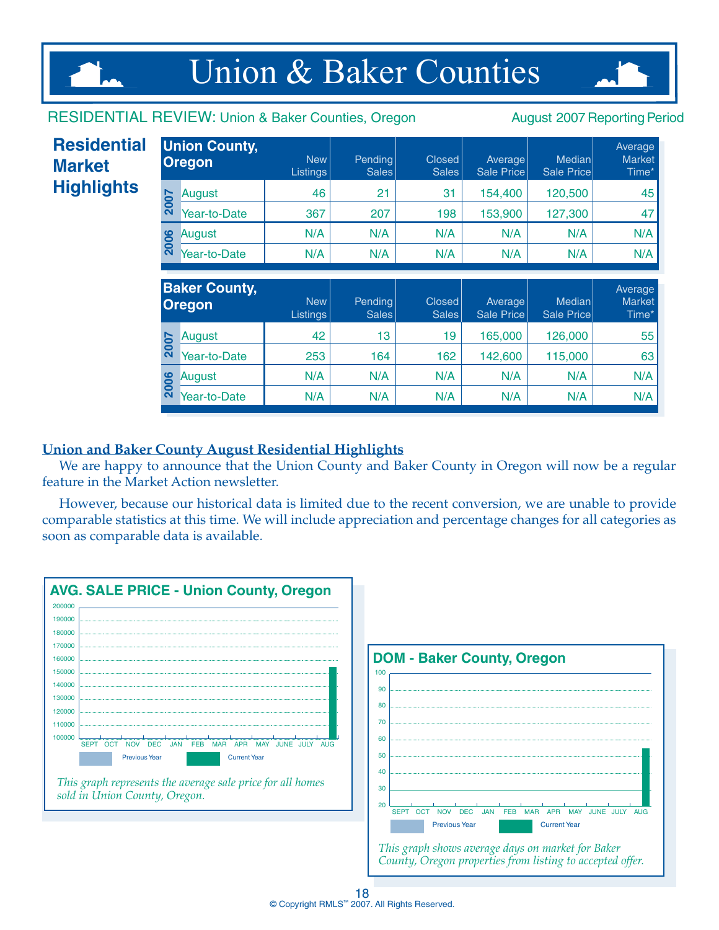## Union & Baker Counties

#### RESIDENTIAL REVIEW: Union & Baker Counties, Oregon August 2007 Reporting Period

| <b>Residential</b><br><b>Market</b> |      | <b>Union County,</b><br><b>Oregon</b> | <b>New</b><br>Listings        | Pending<br>Sales | <b>Closed</b><br><b>Sales</b> | Average<br><b>Sale Price</b> | <b>Median</b><br>Sale Price | Average<br><b>Market</b><br>Time* |
|-------------------------------------|------|---------------------------------------|-------------------------------|------------------|-------------------------------|------------------------------|-----------------------------|-----------------------------------|
| <b>Highlights</b>                   |      | August                                | 46                            | 21               | 31                            | 154,400                      | 120,500                     | 45                                |
|                                     | 2007 | Year-to-Date                          | 367                           | 207              | 198                           | 153,900                      | 127,300                     | 47                                |
|                                     | 2006 | August                                | N/A                           | N/A              | N/A                           | N/A                          | N/A                         | N/A                               |
|                                     |      | Year-to-Date                          | N/A                           | N/A              | N/A                           | N/A                          | N/A                         | N/A                               |
|                                     |      |                                       |                               |                  |                               |                              |                             |                                   |
|                                     |      | <b>Baker County,</b><br><b>Oregon</b> | <b>New</b><br><b>Listings</b> | Pending<br>Sales | <b>Closed</b><br><b>Sales</b> | Average<br>Sale Price        | Median<br>Sale Price        | Average<br><b>Market</b><br>Time* |
|                                     |      | August                                | 42                            | 13               | 19                            | 165,000                      | 126,000                     | 55                                |
|                                     | 2007 | Year-to-Date                          | 253                           | 164              | 162                           | 142,600                      | 115,000                     | 63                                |
|                                     | 2006 | August                                | N/A                           | N/A              | N/A                           | N/A                          | N/A                         | N/A                               |
|                                     |      | Year-to-Date                          | N/A                           | N/A              | N/A                           | N/A                          | N/A                         | N/A                               |

#### **Union and Baker County August Residential Highlights**

We are happy to announce that the Union County and Baker County in Oregon will now be a regular feature in the Market Action newsletter.

However, because our historical data is limited due to the recent conversion, we are unable to provide comparable statistics at this time. We will include appreciation and percentage changes for all categories as soon as comparable data is available.

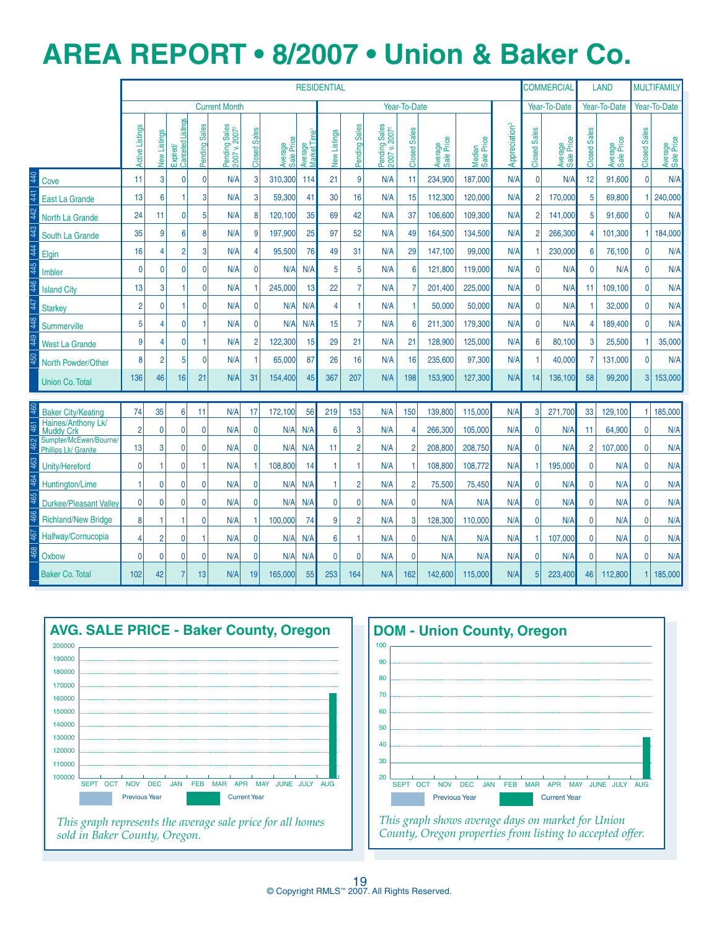### **AREa REPORT • 8/2007 • Union & Baker Co.**

|     |                                                |                 |                 |                                     |               |                                            |                        |                       |                                     | <b>RESIDENTIAL</b> |                |                                            |                |                       |                      |                           |                         | <b>COMMERCIAL</b>     |                     | <b>LAND</b>           |                     | <b>MULTIFAMILY</b>    |
|-----|------------------------------------------------|-----------------|-----------------|-------------------------------------|---------------|--------------------------------------------|------------------------|-----------------------|-------------------------------------|--------------------|----------------|--------------------------------------------|----------------|-----------------------|----------------------|---------------------------|-------------------------|-----------------------|---------------------|-----------------------|---------------------|-----------------------|
|     |                                                |                 |                 |                                     |               | <b>Current Month</b>                       |                        |                       |                                     |                    |                |                                            | Year-To-Date   |                       |                      |                           |                         | Year-To-Date          |                     | Year-To-Date          |                     | Year-To-Date          |
|     |                                                | Active Listings | New Listings    | <b>Canceled Listings</b><br>Expired | Pending Sales | Pending Sales<br>2007 v. 2007 <sup>2</sup> | <b>Sales</b><br>Closed | Average<br>Sale Price | Average<br>Market Time <sup>1</sup> | New Listings       | Pending Sales  | Pending Sales<br>2007 v. 2007 <sup>2</sup> | Closed Sales   | Average<br>Sale Price | Median<br>Sale Price | Appreciation <sup>3</sup> | <b>Sales</b><br>Closed: | Average<br>Sale Price | <b>Closed Sales</b> | Average<br>Sale Price | <b>Closed Sales</b> | Average<br>Sale Price |
| 40  | Cove                                           | 11              | 3               | $\mathbf{0}$                        | 0             | N/A                                        | 3                      | 310.300               | 114                                 | 21                 | 9              | N/A                                        | 11             | 234,900               | 187.000              | N/A                       | $\mathbf{0}$            | N/A                   | 12                  | 91,600                | $\mathbf{0}$        | N/A                   |
|     | East La Grande                                 | 13              | $6\phantom{1}6$ | 1                                   | 3             | N/A                                        | 3                      | 59,300                | 41                                  | 30                 | 16             | N/A                                        | 15             | 112,300               | 120,000              | N/A                       | $\overline{2}$          | 170,000               | 5                   | 69,800                |                     | 240,000               |
|     | North La Grande                                | 24              | 11              | $\mathbf{0}$                        | 5             | N/A                                        | 8                      | 120,100               | 35                                  | 69                 | 42             | N/A                                        | 37             | 106,600               | 109.300              | N/A                       | $\overline{2}$          | 141,000               | 5                   | 91,600                | $\Omega$            | N/A                   |
| 43  | South La Grande                                | 35              | 9               | 6                                   | 8             | N/A                                        | 9                      | 197,900               | 25                                  | 97                 | 52             | N/A                                        | 49             | 164,500               | 134,500              | N/A                       | $\overline{2}$          | 266,300               | $\overline{4}$      | 101,300               |                     | 184,000               |
| 44  | Elgin                                          | 16              | $\overline{4}$  | $\overline{2}$                      | 3             | N/A                                        | $\Delta$               | 95,500                | 76                                  | 49                 | 31             | N/A                                        | 29             | 147,100               | 99.000               | N/A                       |                         | 230,000               | 6                   | 76,100                | $\mathbf{0}$        | N/A                   |
|     | Imbler                                         | $\mathbf{0}$    | $\mathbf 0$     | $\mathbf{0}$                        | 0             | N/A                                        | $\mathbf{0}$           | N/A                   | N/A                                 | 5                  | 5              | N/A                                        | 6              | 121,800               | 119,000              | N/A                       | $\mathbf{0}$            | N/A                   | $\mathbf{0}$        | N/A                   | $\mathbf{0}$        | N/A                   |
|     | <b>Island City</b>                             | 13              | 3               | $\overline{1}$                      | 0             | N/A                                        |                        | 245,000               | 13                                  | 22                 | $\overline{7}$ | N/A                                        | 7              | 201.400               | 225.000              | N/A                       | $\mathbf{0}$            | N/A                   | 11                  | 109,100               | $\overline{0}$      | N/A                   |
| 47  | <b>Starkey</b>                                 | $\overline{2}$  | $\mathbf 0$     | 1                                   | 0             | N/A                                        | $\mathbf{0}$           | N/A                   | N/A                                 | $\overline{4}$     | 1              | N/A                                        | 1              | 50.000                | 50.000               | N/A                       | $\mathbf{0}$            | N/A                   |                     | 32.000                | $\Omega$            | N/A                   |
| 48  | Summerville                                    | 5               | $\overline{4}$  | $\mathbf{0}$                        | 1             | N/A                                        | $\mathbf{0}$           | N/A                   | N/A                                 | 15                 | $\overline{7}$ | N/A                                        | 6              | 211,300               | 179.300              | N/A                       | $\mathbf{0}$            | N/A                   | 4                   | 189,400               | $\Omega$            | N/A                   |
|     | <b>West La Grande</b>                          | 9               | $\overline{4}$  | $\mathbf{0}$                        | 1             | N/A                                        | $\overline{2}$         | 122,300               | 15                                  | 29                 | 21             | N/A                                        | 21             | 128,900               | 125,000              | N/A                       | $6\phantom{1}6$         | 80,100                | 3                   | 25,500                | -1                  | 35,000                |
|     | North Powder/Other                             | 8               | $\overline{2}$  | 5                                   | 0             | N/A                                        |                        | 65,000                | 87                                  | 26                 | 16             | N/A                                        | 16             | 235,600               | 97,300               | N/A                       | 1                       | 40,000                | $\overline{7}$      | 131,000               | $\mathbf{0}$        | N/A                   |
|     | <b>Union Co. Total</b>                         | 136             | 46              | 16                                  | 21            | N/A                                        | 31                     | 154,400               | 45                                  | 367                | 207            | N/A                                        | 198            | 153,900               | 127,300              | N/A                       | 14                      | 136,100               | 58                  | 99,200                | 3                   | 153,000               |
| 460 | <b>Baker City/Keating</b>                      | 74              | 35              | 6                                   | 11            | N/A                                        | 17                     | 172,100               | 56                                  | 219                | 153            | N/A                                        | 150            | 139,800               | 115,000              | N/A                       | 3                       | 271,700               | 33                  | 129,100               |                     | 185,000               |
|     | Haines/Anthony Lk/<br><b>Muddy Crk</b>         | $\overline{2}$  | $\overline{0}$  | $\overline{0}$                      | $\mathbf 0$   | N/A                                        | $\overline{0}$         | N/A                   | N/A                                 | 6                  | 3              | N/A                                        | 4              | 266,300               | 105,000              | N/A                       | $\mathbf 0$             | N/A                   | 11                  | 64,900                | $\mathbf{0}$        | N/A                   |
|     | Sumpter/McEwen/Bourne/<br>Phillips Lk/ Granite | 13              | 3               | $\overline{0}$                      | $\mathbf 0$   | N/A                                        | $\overline{0}$         | N/A                   | N/A                                 | 11                 | $\overline{2}$ | N/A                                        | $\overline{2}$ | 208,800               | 208,750              | N/A                       | $\mathbf 0$             | N/A                   | $\overline{2}$      | 107,000               | $\mathbf{0}$        | N/A                   |
|     | Unity/Hereford                                 | 0               | 1               | $\Omega$                            |               | N/A                                        |                        | 108,800               | 14                                  | 1                  | -1             | N/A                                        |                | 108,800               | 108,772              | N/A                       | 1                       | 195,000               | $\mathbf{0}$        | N/A                   | $\mathbf{0}$        | N/A                   |
| 464 | Huntington/Lime                                | 1               | $\mathbf 0$     | $\Omega$                            | $\mathbf{0}$  | N/A                                        | $\Omega$               | N/A                   | N/A                                 | 1                  | $\overline{2}$ | N/A                                        | $\overline{2}$ | 75.500                | 75,450               | N/A                       | 0                       | N/A                   | 0                   | N/A                   | $\mathbf{0}$        | N/A                   |
| 465 | <b>Durkee/Pleasant Valley</b>                  | $\mathbf{0}$    | $\overline{0}$  | $\mathbf{0}$                        | $\mathbf{0}$  | N/A                                        | $\Omega$               | N/A                   | N/A                                 | $\mathbf{0}$       | $\mathbf{0}$   | N/A                                        | $\mathbf{0}$   | N/A                   | N/A                  | N/A                       | $\mathbf{0}$            | N/A                   | $\mathbf{0}$        | N/A                   | $\mathbf{0}$        | N/A                   |
|     | <b>Richland/New Bridge</b>                     | 8               | 1               | 1                                   | $\mathbf 0$   | N/A                                        |                        | 100,000               | 74                                  | 9                  | $\overline{2}$ | N/A                                        | 3              | 128,300               | 110,000              | N/A                       | $\mathbf 0$             | N/A                   | 0                   | N/A                   | $\mathbf{0}$        | N/A                   |
|     | Halfway/Cornucopia                             | 4               | $\overline{2}$  | 0                                   |               | N/A                                        | $\overline{0}$         | N/A                   | N/A                                 | 6                  | 1              | N/A                                        | 0              | N/A                   | N/A                  | N/A                       | 1                       | 107,000               | 0                   | N/A                   | $\mathbf{0}$        | N/A                   |
| 468 | Oxbow                                          | 0               | $\mathbf 0$     | 0                                   | $\mathbf 0$   | N/A                                        | $\overline{0}$         | N/A                   | N/A                                 | 0                  | $\mathbf{0}$   | N/A                                        | $\mathbf 0$    | N/A                   | N/A                  | N/A                       | $\mathbf 0$             | N/A                   | $\mathbf 0$         | N/A                   | $\mathbf{0}$        | N/A                   |
|     | <b>Baker Co. Total</b>                         | 102             | 42              | $\overline{7}$                      | 13            | N/A                                        | 19                     | 165,000               | 55                                  | 253                | 164            | N/A                                        | 162            | 142,600               | 115,000              | N/A                       | 5                       | 223,400               | 46                  | 112,800               |                     | 185,000               |



*This graph represents the average sale price for all homes sold in Baker County, Oregon.*



*County, Oregon properties from listing to accepted offer.*